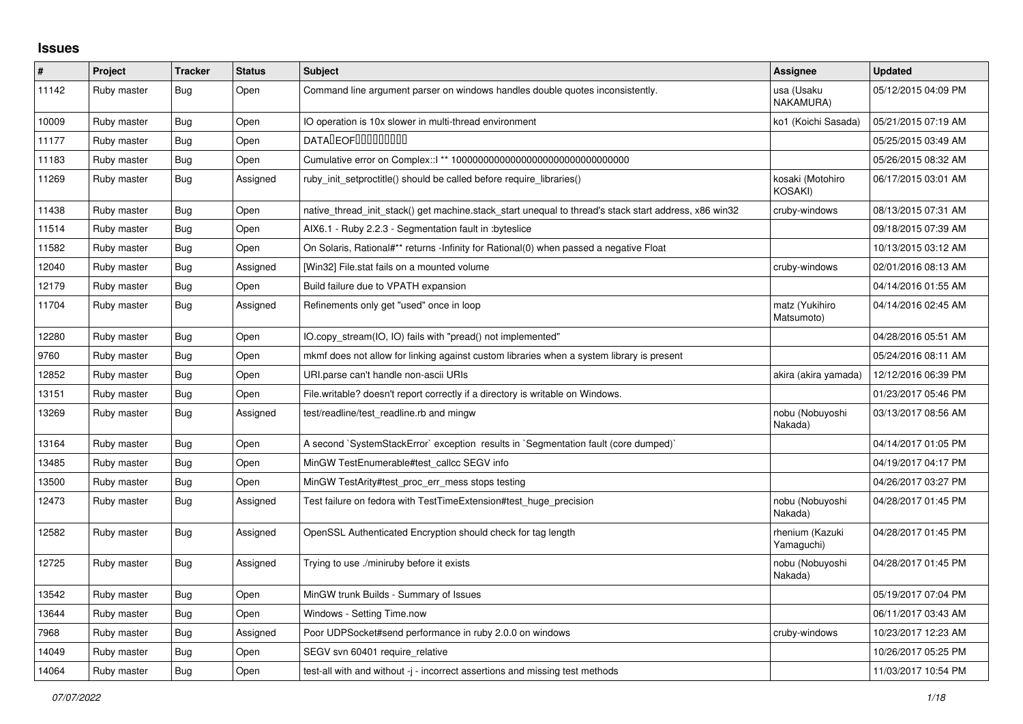## **Issues**

| #     | Project     | <b>Tracker</b> | <b>Status</b> | <b>Subject</b>                                                                                        | Assignee                      | <b>Updated</b>      |
|-------|-------------|----------------|---------------|-------------------------------------------------------------------------------------------------------|-------------------------------|---------------------|
| 11142 | Ruby master | Bug            | Open          | Command line argument parser on windows handles double quotes inconsistently.                         | usa (Usaku<br>NAKAMURA)       | 05/12/2015 04:09 PM |
| 10009 | Ruby master | Bug            | Open          | IO operation is 10x slower in multi-thread environment                                                | ko1 (Koichi Sasada)           | 05/21/2015 07:19 AM |
| 11177 | Ruby master | <b>Bug</b>     | Open          | <b>DATALEOFILILILILILILI</b>                                                                          |                               | 05/25/2015 03:49 AM |
| 11183 | Ruby master | <b>Bug</b>     | Open          |                                                                                                       |                               | 05/26/2015 08:32 AM |
| 11269 | Ruby master | Bug            | Assigned      | ruby_init_setproctitle() should be called before require_libraries()                                  | kosaki (Motohiro<br>KOSAKI)   | 06/17/2015 03:01 AM |
| 11438 | Ruby master | <b>Bug</b>     | Open          | native_thread_init_stack() get machine.stack_start unequal to thread's stack start address, x86 win32 | cruby-windows                 | 08/13/2015 07:31 AM |
| 11514 | Ruby master | <b>Bug</b>     | Open          | AIX6.1 - Ruby 2.2.3 - Segmentation fault in :byteslice                                                |                               | 09/18/2015 07:39 AM |
| 11582 | Ruby master | <b>Bug</b>     | Open          | On Solaris, Rational#** returns -Infinity for Rational(0) when passed a negative Float                |                               | 10/13/2015 03:12 AM |
| 12040 | Ruby master | Bug            | Assigned      | [Win32] File.stat fails on a mounted volume                                                           | cruby-windows                 | 02/01/2016 08:13 AM |
| 12179 | Ruby master | Bug            | Open          | Build failure due to VPATH expansion                                                                  |                               | 04/14/2016 01:55 AM |
| 11704 | Ruby master | Bug            | Assigned      | Refinements only get "used" once in loop                                                              | matz (Yukihiro<br>Matsumoto)  | 04/14/2016 02:45 AM |
| 12280 | Ruby master | Bug            | Open          | IO.copy stream(IO, IO) fails with "pread() not implemented"                                           |                               | 04/28/2016 05:51 AM |
| 9760  | Ruby master | <b>Bug</b>     | Open          | mkmf does not allow for linking against custom libraries when a system library is present             |                               | 05/24/2016 08:11 AM |
| 12852 | Ruby master | <b>Bug</b>     | Open          | URI parse can't handle non-ascii URIs                                                                 | akira (akira yamada)          | 12/12/2016 06:39 PM |
| 13151 | Ruby master | <b>Bug</b>     | Open          | File.writable? doesn't report correctly if a directory is writable on Windows.                        |                               | 01/23/2017 05:46 PM |
| 13269 | Ruby master | Bug            | Assigned      | test/readline/test readline.rb and mingw                                                              | nobu (Nobuyoshi<br>Nakada)    | 03/13/2017 08:56 AM |
| 13164 | Ruby master | Bug            | Open          | A second `SystemStackError` exception results in `Segmentation fault (core dumped)`                   |                               | 04/14/2017 01:05 PM |
| 13485 | Ruby master | Bug            | Open          | MinGW TestEnumerable#test_callcc SEGV info                                                            |                               | 04/19/2017 04:17 PM |
| 13500 | Ruby master | <b>Bug</b>     | Open          | MinGW TestArity#test_proc_err_mess stops testing                                                      |                               | 04/26/2017 03:27 PM |
| 12473 | Ruby master | <b>Bug</b>     | Assigned      | Test failure on fedora with TestTimeExtension#test_huge_precision                                     | nobu (Nobuyoshi<br>Nakada)    | 04/28/2017 01:45 PM |
| 12582 | Ruby master | Bug            | Assigned      | OpenSSL Authenticated Encryption should check for tag length                                          | rhenium (Kazuki<br>Yamaguchi) | 04/28/2017 01:45 PM |
| 12725 | Ruby master | Bug            | Assigned      | Trying to use ./miniruby before it exists                                                             | nobu (Nobuyoshi<br>Nakada)    | 04/28/2017 01:45 PM |
| 13542 | Ruby master | <b>Bug</b>     | Open          | MinGW trunk Builds - Summary of Issues                                                                |                               | 05/19/2017 07:04 PM |
| 13644 | Ruby master | <b>Bug</b>     | Open          | Windows - Setting Time.now                                                                            |                               | 06/11/2017 03:43 AM |
| 7968  | Ruby master | <b>Bug</b>     | Assigned      | Poor UDPSocket#send performance in ruby 2.0.0 on windows                                              | cruby-windows                 | 10/23/2017 12:23 AM |
| 14049 | Ruby master | <b>Bug</b>     | Open          | SEGV svn 60401 require relative                                                                       |                               | 10/26/2017 05:25 PM |
| 14064 | Ruby master | <b>Bug</b>     | Open          | test-all with and without -j - incorrect assertions and missing test methods                          |                               | 11/03/2017 10:54 PM |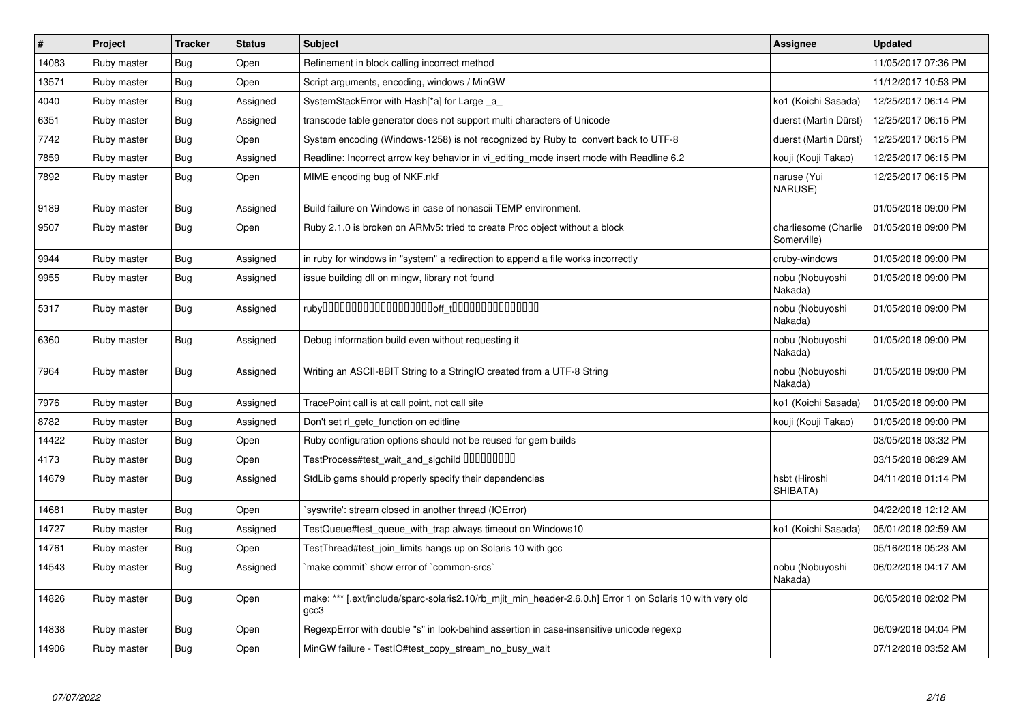| #     | Project     | <b>Tracker</b> | <b>Status</b> | <b>Subject</b>                                                                                                    | <b>Assignee</b>                     | <b>Updated</b>      |
|-------|-------------|----------------|---------------|-------------------------------------------------------------------------------------------------------------------|-------------------------------------|---------------------|
| 14083 | Ruby master | Bug            | Open          | Refinement in block calling incorrect method                                                                      |                                     | 11/05/2017 07:36 PM |
| 13571 | Ruby master | Bug            | Open          | Script arguments, encoding, windows / MinGW                                                                       |                                     | 11/12/2017 10:53 PM |
| 4040  | Ruby master | Bug            | Assigned      | SystemStackError with Hash[*a] for Large _a_                                                                      | ko1 (Koichi Sasada)                 | 12/25/2017 06:14 PM |
| 6351  | Ruby master | Bug            | Assigned      | transcode table generator does not support multi characters of Unicode                                            | duerst (Martin Dürst)               | 12/25/2017 06:15 PM |
| 7742  | Ruby master | Bug            | Open          | System encoding (Windows-1258) is not recognized by Ruby to convert back to UTF-8                                 | duerst (Martin Dürst)               | 12/25/2017 06:15 PM |
| 7859  | Ruby master | Bug            | Assigned      | Readline: Incorrect arrow key behavior in vi editing mode insert mode with Readline 6.2                           | kouji (Kouji Takao)                 | 12/25/2017 06:15 PM |
| 7892  | Ruby master | Bug            | Open          | MIME encoding bug of NKF.nkf                                                                                      | naruse (Yui<br>NARUSE)              | 12/25/2017 06:15 PM |
| 9189  | Ruby master | Bug            | Assigned      | Build failure on Windows in case of nonascii TEMP environment.                                                    |                                     | 01/05/2018 09:00 PM |
| 9507  | Ruby master | Bug            | Open          | Ruby 2.1.0 is broken on ARMv5: tried to create Proc object without a block                                        | charliesome (Charlie<br>Somerville) | 01/05/2018 09:00 PM |
| 9944  | Ruby master | Bug            | Assigned      | in ruby for windows in "system" a redirection to append a file works incorrectly                                  | cruby-windows                       | 01/05/2018 09:00 PM |
| 9955  | Ruby master | Bug            | Assigned      | issue building dll on mingw, library not found                                                                    | nobu (Nobuyoshi<br>Nakada)          | 01/05/2018 09:00 PM |
| 5317  | Ruby master | Bug            | Assigned      |                                                                                                                   | nobu (Nobuyoshi<br>Nakada)          | 01/05/2018 09:00 PM |
| 6360  | Ruby master | Bug            | Assigned      | Debug information build even without requesting it                                                                | nobu (Nobuyoshi<br>Nakada)          | 01/05/2018 09:00 PM |
| 7964  | Ruby master | Bug            | Assigned      | Writing an ASCII-8BIT String to a StringIO created from a UTF-8 String                                            | nobu (Nobuyoshi<br>Nakada)          | 01/05/2018 09:00 PM |
| 7976  | Ruby master | Bug            | Assigned      | TracePoint call is at call point, not call site                                                                   | ko1 (Koichi Sasada)                 | 01/05/2018 09:00 PM |
| 8782  | Ruby master | Bug            | Assigned      | Don't set rl getc function on editline                                                                            | kouji (Kouji Takao)                 | 01/05/2018 09:00 PM |
| 14422 | Ruby master | Bug            | Open          | Ruby configuration options should not be reused for gem builds                                                    |                                     | 03/05/2018 03:32 PM |
| 4173  | Ruby master | <b>Bug</b>     | Open          | TestProcess#test_wait_and_sigchild DDDDDDDD                                                                       |                                     | 03/15/2018 08:29 AM |
| 14679 | Ruby master | Bug            | Assigned      | StdLib gems should properly specify their dependencies                                                            | hsbt (Hiroshi<br>SHIBATA)           | 04/11/2018 01:14 PM |
| 14681 | Ruby master | Bug            | Open          | syswrite': stream closed in another thread (IOError)                                                              |                                     | 04/22/2018 12:12 AM |
| 14727 | Ruby master | Bug            | Assigned      | TestQueue#test queue with trap always timeout on Windows10                                                        | ko1 (Koichi Sasada)                 | 05/01/2018 02:59 AM |
| 14761 | Ruby master | <b>Bug</b>     | Open          | TestThread#test join limits hangs up on Solaris 10 with gcc                                                       |                                     | 05/16/2018 05:23 AM |
| 14543 | Ruby master | Bug            | Assigned      | 'make commit' show error of 'common-srcs'                                                                         | nobu (Nobuyoshi<br>Nakada)          | 06/02/2018 04:17 AM |
| 14826 | Ruby master | Bug            | Open          | make: *** [.ext/include/sparc-solaris2.10/rb_mjit_min_header-2.6.0.h] Error 1 on Solaris 10 with very old<br>gcc3 |                                     | 06/05/2018 02:02 PM |
| 14838 | Ruby master | <b>Bug</b>     | Open          | RegexpError with double "s" in look-behind assertion in case-insensitive unicode regexp                           |                                     | 06/09/2018 04:04 PM |
| 14906 | Ruby master | <b>Bug</b>     | Open          | MinGW failure - TestIO#test copy stream no busy wait                                                              |                                     | 07/12/2018 03:52 AM |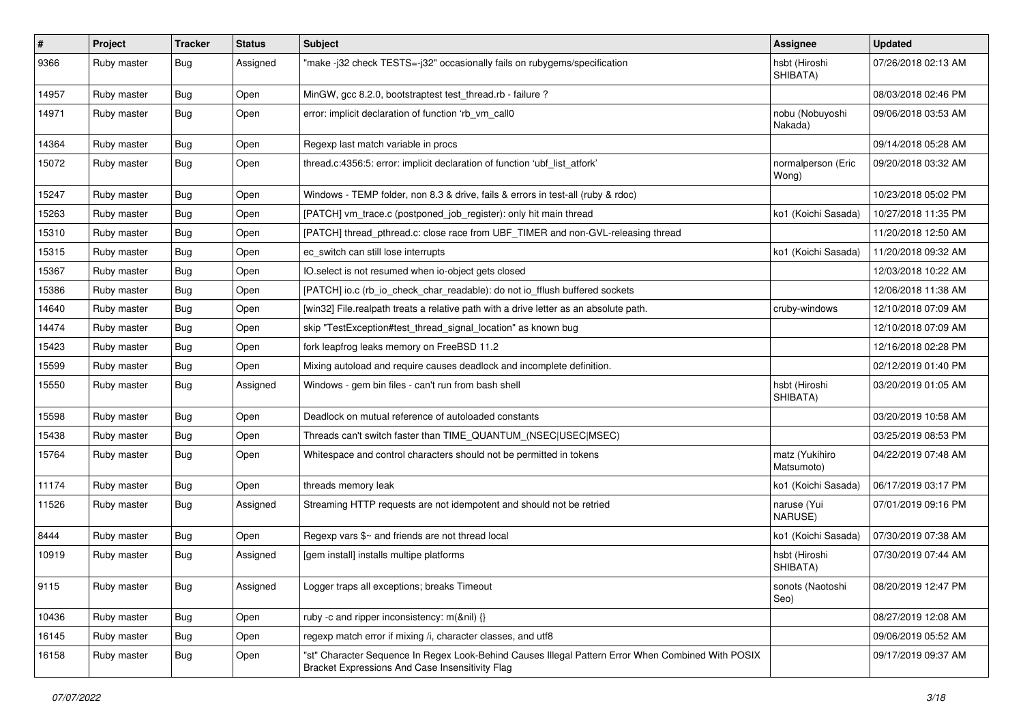| $\vert$ # | Project     | <b>Tracker</b> | <b>Status</b> | Subject                                                                                                                                               | <b>Assignee</b>              | <b>Updated</b>      |
|-----------|-------------|----------------|---------------|-------------------------------------------------------------------------------------------------------------------------------------------------------|------------------------------|---------------------|
| 9366      | Ruby master | Bug            | Assigned      | "make -j32 check TESTS=-j32" occasionally fails on rubygems/specification                                                                             | hsbt (Hiroshi<br>SHIBATA)    | 07/26/2018 02:13 AM |
| 14957     | Ruby master | Bug            | Open          | MinGW, gcc 8.2.0, bootstraptest test_thread.rb - failure ?                                                                                            |                              | 08/03/2018 02:46 PM |
| 14971     | Ruby master | <b>Bug</b>     | Open          | error: implicit declaration of function 'rb_vm_call0                                                                                                  | nobu (Nobuyoshi<br>Nakada)   | 09/06/2018 03:53 AM |
| 14364     | Ruby master | Bug            | Open          | Regexp last match variable in procs                                                                                                                   |                              | 09/14/2018 05:28 AM |
| 15072     | Ruby master | Bug            | Open          | thread.c:4356:5: error: implicit declaration of function 'ubf_list_atfork'                                                                            | normalperson (Eric<br>Wong)  | 09/20/2018 03:32 AM |
| 15247     | Ruby master | Bug            | Open          | Windows - TEMP folder, non 8.3 & drive, fails & errors in test-all (ruby & rdoc)                                                                      |                              | 10/23/2018 05:02 PM |
| 15263     | Ruby master | <b>Bug</b>     | Open          | [PATCH] vm_trace.c (postponed_job_register): only hit main thread                                                                                     | ko1 (Koichi Sasada)          | 10/27/2018 11:35 PM |
| 15310     | Ruby master | Bug            | Open          | [PATCH] thread_pthread.c: close race from UBF_TIMER and non-GVL-releasing thread                                                                      |                              | 11/20/2018 12:50 AM |
| 15315     | Ruby master | <b>Bug</b>     | Open          | ec_switch can still lose interrupts                                                                                                                   | ko1 (Koichi Sasada)          | 11/20/2018 09:32 AM |
| 15367     | Ruby master | Bug            | Open          | IO.select is not resumed when io-object gets closed                                                                                                   |                              | 12/03/2018 10:22 AM |
| 15386     | Ruby master | Bug            | Open          | [PATCH] io.c (rb_io_check_char_readable): do not io_fflush buffered sockets                                                                           |                              | 12/06/2018 11:38 AM |
| 14640     | Ruby master | <b>Bug</b>     | Open          | [win32] File.realpath treats a relative path with a drive letter as an absolute path.                                                                 | cruby-windows                | 12/10/2018 07:09 AM |
| 14474     | Ruby master | <b>Bug</b>     | Open          | skip "TestException#test_thread_signal_location" as known bug                                                                                         |                              | 12/10/2018 07:09 AM |
| 15423     | Ruby master | <b>Bug</b>     | Open          | fork leapfrog leaks memory on FreeBSD 11.2                                                                                                            |                              | 12/16/2018 02:28 PM |
| 15599     | Ruby master | Bug            | Open          | Mixing autoload and require causes deadlock and incomplete definition.                                                                                |                              | 02/12/2019 01:40 PM |
| 15550     | Ruby master | Bug            | Assigned      | Windows - gem bin files - can't run from bash shell                                                                                                   | hsbt (Hiroshi<br>SHIBATA)    | 03/20/2019 01:05 AM |
| 15598     | Ruby master | <b>Bug</b>     | Open          | Deadlock on mutual reference of autoloaded constants                                                                                                  |                              | 03/20/2019 10:58 AM |
| 15438     | Ruby master | Bug            | Open          | Threads can't switch faster than TIME_QUANTUM_(NSEC USEC MSEC)                                                                                        |                              | 03/25/2019 08:53 PM |
| 15764     | Ruby master | Bug            | Open          | Whitespace and control characters should not be permitted in tokens                                                                                   | matz (Yukihiro<br>Matsumoto) | 04/22/2019 07:48 AM |
| 11174     | Ruby master | Bug            | Open          | threads memory leak                                                                                                                                   | ko1 (Koichi Sasada)          | 06/17/2019 03:17 PM |
| 11526     | Ruby master | Bug            | Assigned      | Streaming HTTP requests are not idempotent and should not be retried                                                                                  | naruse (Yui<br>NARUSE)       | 07/01/2019 09:16 PM |
| 8444      | Ruby master | <b>Bug</b>     | Open          | Regexp vars \$~ and friends are not thread local                                                                                                      | ko1 (Koichi Sasada)          | 07/30/2019 07:38 AM |
| 10919     | Ruby master | <b>Bug</b>     | Assigned      | [gem install] installs multipe platforms                                                                                                              | hsbt (Hiroshi<br>SHIBATA)    | 07/30/2019 07:44 AM |
| 9115      | Ruby master | <b>Bug</b>     | Assigned      | Logger traps all exceptions; breaks Timeout                                                                                                           | sonots (Naotoshi<br>Seo)     | 08/20/2019 12:47 PM |
| 10436     | Ruby master | <b>Bug</b>     | Open          | ruby -c and ripper inconsistency: m(&nil) {}                                                                                                          |                              | 08/27/2019 12:08 AM |
| 16145     | Ruby master | Bug            | Open          | regexp match error if mixing /i, character classes, and utf8                                                                                          |                              | 09/06/2019 05:52 AM |
| 16158     | Ruby master | <b>Bug</b>     | Open          | "st" Character Sequence In Regex Look-Behind Causes Illegal Pattern Error When Combined With POSIX<br>Bracket Expressions And Case Insensitivity Flag |                              | 09/17/2019 09:37 AM |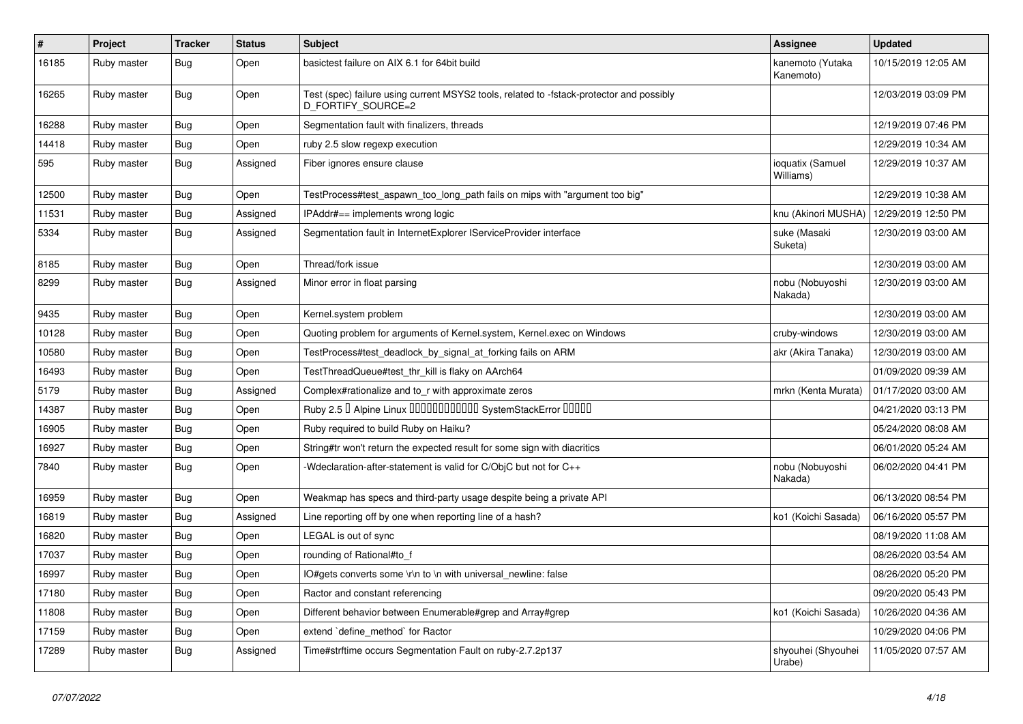| $\sharp$ | Project     | Tracker    | <b>Status</b> | Subject                                                                                                        | <b>Assignee</b>               | <b>Updated</b>      |
|----------|-------------|------------|---------------|----------------------------------------------------------------------------------------------------------------|-------------------------------|---------------------|
| 16185    | Ruby master | Bug        | Open          | basictest failure on AIX 6.1 for 64bit build                                                                   | kanemoto (Yutaka<br>Kanemoto) | 10/15/2019 12:05 AM |
| 16265    | Ruby master | Bug        | Open          | Test (spec) failure using current MSYS2 tools, related to -fstack-protector and possibly<br>D FORTIFY SOURCE=2 |                               | 12/03/2019 03:09 PM |
| 16288    | Ruby master | <b>Bug</b> | Open          | Segmentation fault with finalizers, threads                                                                    |                               | 12/19/2019 07:46 PM |
| 14418    | Ruby master | <b>Bug</b> | Open          | ruby 2.5 slow regexp execution                                                                                 |                               | 12/29/2019 10:34 AM |
| 595      | Ruby master | <b>Bug</b> | Assigned      | Fiber ignores ensure clause                                                                                    | ioquatix (Samuel<br>Williams) | 12/29/2019 10:37 AM |
| 12500    | Ruby master | <b>Bug</b> | Open          | TestProcess#test_aspawn_too_long_path fails on mips with "argument too big"                                    |                               | 12/29/2019 10:38 AM |
| 11531    | Ruby master | Bug        | Assigned      | IPAddr#== implements wrong logic                                                                               | knu (Akinori MUSHA)           | 12/29/2019 12:50 PM |
| 5334     | Ruby master | Bug        | Assigned      | Segmentation fault in InternetExplorer IServiceProvider interface                                              | suke (Masaki<br>Suketa)       | 12/30/2019 03:00 AM |
| 8185     | Ruby master | Bug        | Open          | Thread/fork issue                                                                                              |                               | 12/30/2019 03:00 AM |
| 8299     | Ruby master | <b>Bug</b> | Assigned      | Minor error in float parsing                                                                                   | nobu (Nobuyoshi<br>Nakada)    | 12/30/2019 03:00 AM |
| 9435     | Ruby master | <b>Bug</b> | Open          | Kernel.system problem                                                                                          |                               | 12/30/2019 03:00 AM |
| 10128    | Ruby master | <b>Bug</b> | Open          | Quoting problem for arguments of Kernel.system, Kernel.exec on Windows                                         | cruby-windows                 | 12/30/2019 03:00 AM |
| 10580    | Ruby master | <b>Bug</b> | Open          | TestProcess#test_deadlock_by_signal_at_forking fails on ARM                                                    | akr (Akira Tanaka)            | 12/30/2019 03:00 AM |
| 16493    | Ruby master | <b>Bug</b> | Open          | TestThreadQueue#test_thr_kill is flaky on AArch64                                                              |                               | 01/09/2020 09:39 AM |
| 5179     | Ruby master | <b>Bug</b> | Assigned      | Complex#rationalize and to_r with approximate zeros                                                            | mrkn (Kenta Murata)           | 01/17/2020 03:00 AM |
| 14387    | Ruby master | <b>Bug</b> | Open          | Ruby 2.5 <sup>D</sup> Alpine Linux <b>DDDDDDDDDDD</b> SystemStackError <b>DDDD</b>                             |                               | 04/21/2020 03:13 PM |
| 16905    | Ruby master | Bug        | Open          | Ruby required to build Ruby on Haiku?                                                                          |                               | 05/24/2020 08:08 AM |
| 16927    | Ruby master | <b>Bug</b> | Open          | String#tr won't return the expected result for some sign with diacritics                                       |                               | 06/01/2020 05:24 AM |
| 7840     | Ruby master | <b>Bug</b> | Open          | -Wdeclaration-after-statement is valid for C/ObjC but not for C++                                              | nobu (Nobuyoshi<br>Nakada)    | 06/02/2020 04:41 PM |
| 16959    | Ruby master | <b>Bug</b> | Open          | Weakmap has specs and third-party usage despite being a private API                                            |                               | 06/13/2020 08:54 PM |
| 16819    | Ruby master | Bug        | Assigned      | Line reporting off by one when reporting line of a hash?                                                       | ko1 (Koichi Sasada)           | 06/16/2020 05:57 PM |
| 16820    | Ruby master | <b>Bug</b> | Open          | LEGAL is out of sync                                                                                           |                               | 08/19/2020 11:08 AM |
| 17037    | Ruby master | <b>Bug</b> | Open          | rounding of Rational#to_f                                                                                      |                               | 08/26/2020 03:54 AM |
| 16997    | Ruby master | Bug        | Open          | IO#gets converts some \r\n to \n with universal newline: false                                                 |                               | 08/26/2020 05:20 PM |
| 17180    | Ruby master | <b>Bug</b> | Open          | Ractor and constant referencing                                                                                |                               | 09/20/2020 05:43 PM |
| 11808    | Ruby master | Bug        | Open          | Different behavior between Enumerable#grep and Array#grep                                                      | ko1 (Koichi Sasada)           | 10/26/2020 04:36 AM |
| 17159    | Ruby master | Bug        | Open          | extend 'define_method' for Ractor                                                                              |                               | 10/29/2020 04:06 PM |
| 17289    | Ruby master | Bug        | Assigned      | Time#strftime occurs Segmentation Fault on ruby-2.7.2p137                                                      | shyouhei (Shyouhei<br>Urabe)  | 11/05/2020 07:57 AM |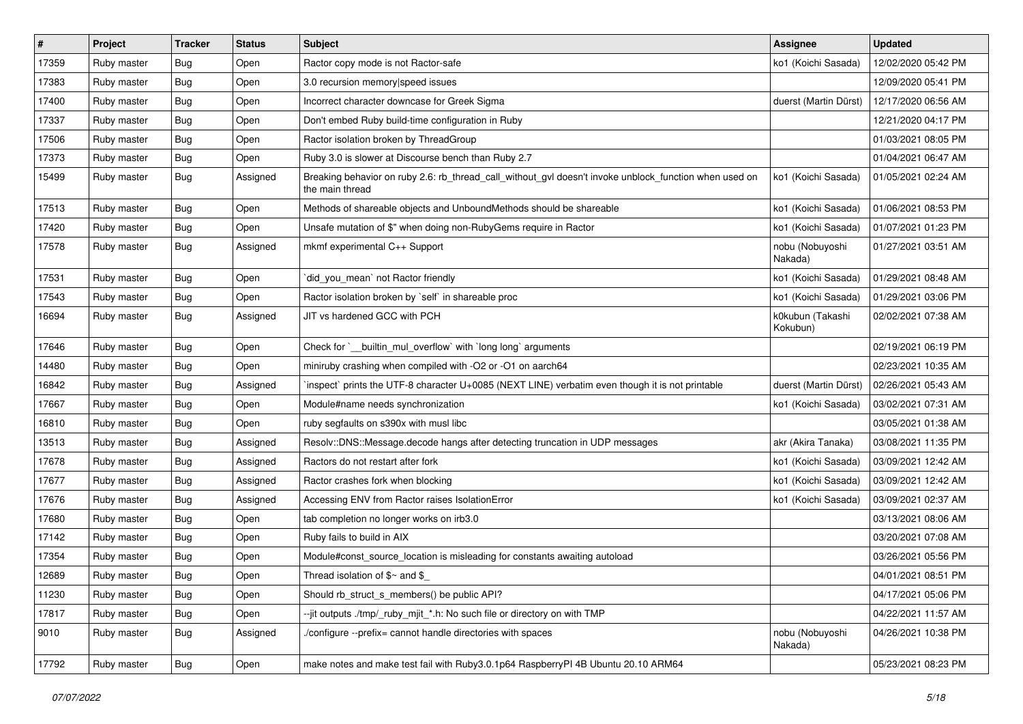| #     | Project     | <b>Tracker</b> | <b>Status</b> | Subject                                                                                                                   | <b>Assignee</b>              | <b>Updated</b>      |
|-------|-------------|----------------|---------------|---------------------------------------------------------------------------------------------------------------------------|------------------------------|---------------------|
| 17359 | Ruby master | <b>Bug</b>     | Open          | Ractor copy mode is not Ractor-safe                                                                                       | ko1 (Koichi Sasada)          | 12/02/2020 05:42 PM |
| 17383 | Ruby master | Bug            | Open          | 3.0 recursion memory speed issues                                                                                         |                              | 12/09/2020 05:41 PM |
| 17400 | Ruby master | <b>Bug</b>     | Open          | Incorrect character downcase for Greek Sigma                                                                              | duerst (Martin Dürst)        | 12/17/2020 06:56 AM |
| 17337 | Ruby master | <b>Bug</b>     | Open          | Don't embed Ruby build-time configuration in Ruby                                                                         |                              | 12/21/2020 04:17 PM |
| 17506 | Ruby master | <b>Bug</b>     | Open          | Ractor isolation broken by ThreadGroup                                                                                    |                              | 01/03/2021 08:05 PM |
| 17373 | Ruby master | <b>Bug</b>     | Open          | Ruby 3.0 is slower at Discourse bench than Ruby 2.7                                                                       |                              | 01/04/2021 06:47 AM |
| 15499 | Ruby master | <b>Bug</b>     | Assigned      | Breaking behavior on ruby 2.6: rb_thread_call_without_gvl doesn't invoke unblock_function when used on<br>the main thread | ko1 (Koichi Sasada)          | 01/05/2021 02:24 AM |
| 17513 | Ruby master | Bug            | Open          | Methods of shareable objects and UnboundMethods should be shareable                                                       | ko1 (Koichi Sasada)          | 01/06/2021 08:53 PM |
| 17420 | Ruby master | Bug            | Open          | Unsafe mutation of \$" when doing non-RubyGems require in Ractor                                                          | ko1 (Koichi Sasada)          | 01/07/2021 01:23 PM |
| 17578 | Ruby master | Bug            | Assigned      | mkmf experimental C++ Support                                                                                             | nobu (Nobuyoshi<br>Nakada)   | 01/27/2021 03:51 AM |
| 17531 | Ruby master | Bug            | Open          | did_you_mean' not Ractor friendly                                                                                         | ko1 (Koichi Sasada)          | 01/29/2021 08:48 AM |
| 17543 | Ruby master | <b>Bug</b>     | Open          | Ractor isolation broken by 'self' in shareable proc                                                                       | ko1 (Koichi Sasada)          | 01/29/2021 03:06 PM |
| 16694 | Ruby master | <b>Bug</b>     | Assigned      | JIT vs hardened GCC with PCH                                                                                              | k0kubun (Takashi<br>Kokubun) | 02/02/2021 07:38 AM |
| 17646 | Ruby master | <b>Bug</b>     | Open          | Check for `__builtin_mul_overflow` with `long long` arguments                                                             |                              | 02/19/2021 06:19 PM |
| 14480 | Ruby master | Bug            | Open          | miniruby crashing when compiled with -O2 or -O1 on aarch64                                                                |                              | 02/23/2021 10:35 AM |
| 16842 | Ruby master | <b>Bug</b>     | Assigned      | inspect` prints the UTF-8 character U+0085 (NEXT LINE) verbatim even though it is not printable                           | duerst (Martin Dürst)        | 02/26/2021 05:43 AM |
| 17667 | Ruby master | <b>Bug</b>     | Open          | Module#name needs synchronization                                                                                         | ko1 (Koichi Sasada)          | 03/02/2021 07:31 AM |
| 16810 | Ruby master | <b>Bug</b>     | Open          | ruby segfaults on s390x with musl libc                                                                                    |                              | 03/05/2021 01:38 AM |
| 13513 | Ruby master | <b>Bug</b>     | Assigned      | Resolv::DNS::Message.decode hangs after detecting truncation in UDP messages                                              | akr (Akira Tanaka)           | 03/08/2021 11:35 PM |
| 17678 | Ruby master | <b>Bug</b>     | Assigned      | Ractors do not restart after fork                                                                                         | ko1 (Koichi Sasada)          | 03/09/2021 12:42 AM |
| 17677 | Ruby master | <b>Bug</b>     | Assigned      | Ractor crashes fork when blocking                                                                                         | ko1 (Koichi Sasada)          | 03/09/2021 12:42 AM |
| 17676 | Ruby master | <b>Bug</b>     | Assigned      | Accessing ENV from Ractor raises IsolationError                                                                           | ko1 (Koichi Sasada)          | 03/09/2021 02:37 AM |
| 17680 | Ruby master | <b>Bug</b>     | Open          | tab completion no longer works on irb3.0                                                                                  |                              | 03/13/2021 08:06 AM |
| 17142 | Ruby master | <b>Bug</b>     | Open          | Ruby fails to build in AIX                                                                                                |                              | 03/20/2021 07:08 AM |
| 17354 | Ruby master | <b>Bug</b>     | Open          | Module#const_source_location is misleading for constants awaiting autoload                                                |                              | 03/26/2021 05:56 PM |
| 12689 | Ruby master | Bug            | Open          | Thread isolation of $$~$ and \$                                                                                           |                              | 04/01/2021 08:51 PM |
| 11230 | Ruby master | <b>Bug</b>     | Open          | Should rb_struct_s_members() be public API?                                                                               |                              | 04/17/2021 05:06 PM |
| 17817 | Ruby master | <b>Bug</b>     | Open          | --jit outputs ./tmp/_ruby_mjit_*.h: No such file or directory on with TMP                                                 |                              | 04/22/2021 11:57 AM |
| 9010  | Ruby master | Bug            | Assigned      | ./configure --prefix= cannot handle directories with spaces                                                               | nobu (Nobuyoshi<br>Nakada)   | 04/26/2021 10:38 PM |
| 17792 | Ruby master | <b>Bug</b>     | Open          | make notes and make test fail with Ruby3.0.1p64 RaspberryPI 4B Ubuntu 20.10 ARM64                                         |                              | 05/23/2021 08:23 PM |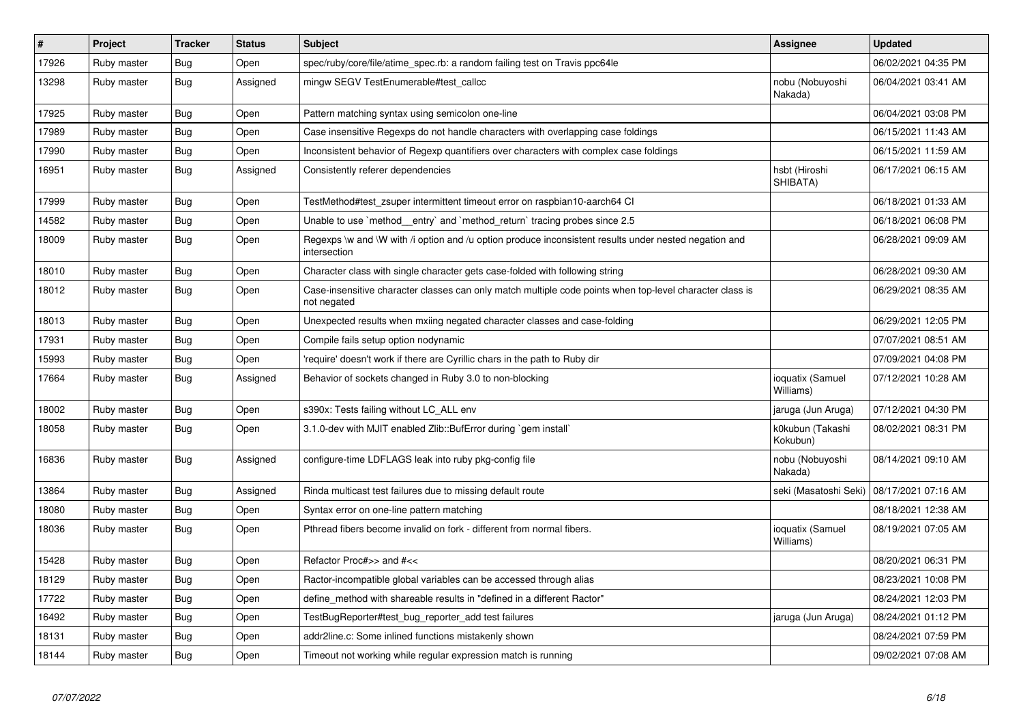| $\vert$ # | Project     | <b>Tracker</b> | <b>Status</b> | <b>Subject</b>                                                                                                          | <b>Assignee</b>               | <b>Updated</b>      |
|-----------|-------------|----------------|---------------|-------------------------------------------------------------------------------------------------------------------------|-------------------------------|---------------------|
| 17926     | Ruby master | Bug            | Open          | spec/ruby/core/file/atime spec.rb: a random failing test on Travis ppc64le                                              |                               | 06/02/2021 04:35 PM |
| 13298     | Ruby master | <b>Bug</b>     | Assigned      | mingw SEGV TestEnumerable#test callcc                                                                                   | nobu (Nobuyoshi<br>Nakada)    | 06/04/2021 03:41 AM |
| 17925     | Ruby master | Bug            | Open          | Pattern matching syntax using semicolon one-line                                                                        |                               | 06/04/2021 03:08 PM |
| 17989     | Ruby master | Bug            | Open          | Case insensitive Regexps do not handle characters with overlapping case foldings                                        |                               | 06/15/2021 11:43 AM |
| 17990     | Ruby master | Bug            | Open          | Inconsistent behavior of Regexp quantifiers over characters with complex case foldings                                  |                               | 06/15/2021 11:59 AM |
| 16951     | Ruby master | <b>Bug</b>     | Assigned      | Consistently referer dependencies                                                                                       | hsbt (Hiroshi<br>SHIBATA)     | 06/17/2021 06:15 AM |
| 17999     | Ruby master | Bug            | Open          | TestMethod#test zsuper intermittent timeout error on raspbian10-aarch64 CI                                              |                               | 06/18/2021 01:33 AM |
| 14582     | Ruby master | <b>Bug</b>     | Open          | Unable to use `method_entry` and `method_return` tracing probes since 2.5                                               |                               | 06/18/2021 06:08 PM |
| 18009     | Ruby master | Bug            | Open          | Regexps \w and \W with /i option and /u option produce inconsistent results under nested negation and<br>intersection   |                               | 06/28/2021 09:09 AM |
| 18010     | Ruby master | <b>Bug</b>     | Open          | Character class with single character gets case-folded with following string                                            |                               | 06/28/2021 09:30 AM |
| 18012     | Ruby master | Bug            | Open          | Case-insensitive character classes can only match multiple code points when top-level character class is<br>not negated |                               | 06/29/2021 08:35 AM |
| 18013     | Ruby master | Bug            | Open          | Unexpected results when mxiing negated character classes and case-folding                                               |                               | 06/29/2021 12:05 PM |
| 17931     | Ruby master | <b>Bug</b>     | Open          | Compile fails setup option nodynamic                                                                                    |                               | 07/07/2021 08:51 AM |
| 15993     | Ruby master | Bug            | Open          | 'require' doesn't work if there are Cyrillic chars in the path to Ruby dir                                              |                               | 07/09/2021 04:08 PM |
| 17664     | Ruby master | <b>Bug</b>     | Assigned      | Behavior of sockets changed in Ruby 3.0 to non-blocking                                                                 | ioquatix (Samuel<br>Williams) | 07/12/2021 10:28 AM |
| 18002     | Ruby master | <b>Bug</b>     | Open          | s390x: Tests failing without LC ALL env                                                                                 | jaruga (Jun Aruga)            | 07/12/2021 04:30 PM |
| 18058     | Ruby master | <b>Bug</b>     | Open          | 3.1.0-dev with MJIT enabled Zlib::BufError during `gem install`                                                         | k0kubun (Takashi<br>Kokubun)  | 08/02/2021 08:31 PM |
| 16836     | Ruby master | Bug            | Assigned      | configure-time LDFLAGS leak into ruby pkg-config file                                                                   | nobu (Nobuyoshi<br>Nakada)    | 08/14/2021 09:10 AM |
| 13864     | Ruby master | Bug            | Assigned      | Rinda multicast test failures due to missing default route                                                              | seki (Masatoshi Seki)         | 08/17/2021 07:16 AM |
| 18080     | Ruby master | Bug            | Open          | Syntax error on one-line pattern matching                                                                               |                               | 08/18/2021 12:38 AM |
| 18036     | Ruby master | Bug            | Open          | Pthread fibers become invalid on fork - different from normal fibers.                                                   | ioquatix (Samuel<br>Williams) | 08/19/2021 07:05 AM |
| 15428     | Ruby master | <b>Bug</b>     | Open          | Refactor Proc#>> and #<<                                                                                                |                               | 08/20/2021 06:31 PM |
| 18129     | Ruby master | Bug            | Open          | Ractor-incompatible global variables can be accessed through alias                                                      |                               | 08/23/2021 10:08 PM |
| 17722     | Ruby master | Bug            | Open          | define method with shareable results in "defined in a different Ractor"                                                 |                               | 08/24/2021 12:03 PM |
| 16492     | Ruby master | <b>Bug</b>     | Open          | TestBugReporter#test_bug_reporter_add test failures                                                                     | jaruga (Jun Aruga)            | 08/24/2021 01:12 PM |
| 18131     | Ruby master | Bug            | Open          | addr2line.c: Some inlined functions mistakenly shown                                                                    |                               | 08/24/2021 07:59 PM |
| 18144     | Ruby master | Bug            | Open          | Timeout not working while regular expression match is running                                                           |                               | 09/02/2021 07:08 AM |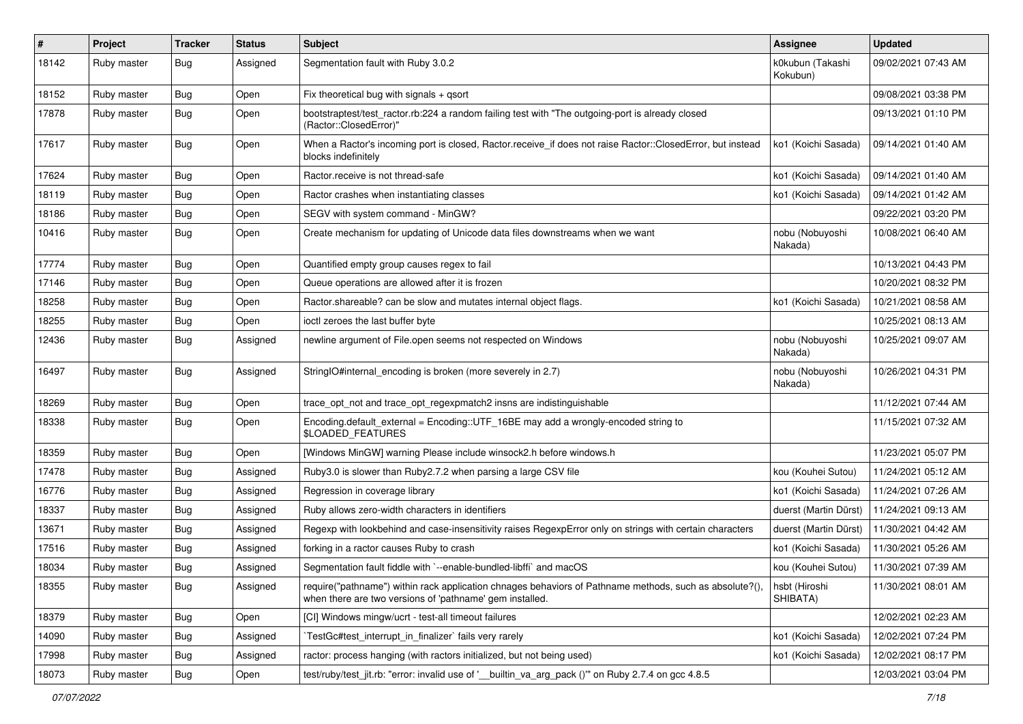| #     | Project     | Tracker    | <b>Status</b> | Subject                                                                                                                                                             | <b>Assignee</b>              | <b>Updated</b>      |
|-------|-------------|------------|---------------|---------------------------------------------------------------------------------------------------------------------------------------------------------------------|------------------------------|---------------------|
| 18142 | Ruby master | Bug        | Assigned      | Segmentation fault with Ruby 3.0.2                                                                                                                                  | k0kubun (Takashi<br>Kokubun) | 09/02/2021 07:43 AM |
| 18152 | Ruby master | <b>Bug</b> | Open          | Fix theoretical bug with signals $+$ qsort                                                                                                                          |                              | 09/08/2021 03:38 PM |
| 17878 | Ruby master | <b>Bug</b> | Open          | bootstraptest/test_ractor.rb:224 a random failing test with "The outgoing-port is already closed<br>(Ractor::ClosedError)"                                          |                              | 09/13/2021 01:10 PM |
| 17617 | Ruby master | <b>Bug</b> | Open          | When a Ractor's incoming port is closed, Ractor.receive_if does not raise Ractor::ClosedError, but instead<br>blocks indefinitely                                   | ko1 (Koichi Sasada)          | 09/14/2021 01:40 AM |
| 17624 | Ruby master | <b>Bug</b> | Open          | Ractor, receive is not thread-safe                                                                                                                                  | ko1 (Koichi Sasada)          | 09/14/2021 01:40 AM |
| 18119 | Ruby master | <b>Bug</b> | Open          | Ractor crashes when instantiating classes                                                                                                                           | ko1 (Koichi Sasada)          | 09/14/2021 01:42 AM |
| 18186 | Ruby master | <b>Bug</b> | Open          | SEGV with system command - MinGW?                                                                                                                                   |                              | 09/22/2021 03:20 PM |
| 10416 | Ruby master | <b>Bug</b> | Open          | Create mechanism for updating of Unicode data files downstreams when we want                                                                                        | nobu (Nobuyoshi<br>Nakada)   | 10/08/2021 06:40 AM |
| 17774 | Ruby master | <b>Bug</b> | Open          | Quantified empty group causes regex to fail                                                                                                                         |                              | 10/13/2021 04:43 PM |
| 17146 | Ruby master | <b>Bug</b> | Open          | Queue operations are allowed after it is frozen                                                                                                                     |                              | 10/20/2021 08:32 PM |
| 18258 | Ruby master | <b>Bug</b> | Open          | Ractor.shareable? can be slow and mutates internal object flags.                                                                                                    | ko1 (Koichi Sasada)          | 10/21/2021 08:58 AM |
| 18255 | Ruby master | <b>Bug</b> | Open          | ioctl zeroes the last buffer byte                                                                                                                                   |                              | 10/25/2021 08:13 AM |
| 12436 | Ruby master | <b>Bug</b> | Assigned      | newline argument of File.open seems not respected on Windows                                                                                                        | nobu (Nobuyoshi<br>Nakada)   | 10/25/2021 09:07 AM |
| 16497 | Ruby master | Bug        | Assigned      | StringIO#internal_encoding is broken (more severely in 2.7)                                                                                                         | nobu (Nobuyoshi<br>Nakada)   | 10/26/2021 04:31 PM |
| 18269 | Ruby master | Bug        | Open          | trace_opt_not and trace_opt_regexpmatch2 insns are indistinguishable                                                                                                |                              | 11/12/2021 07:44 AM |
| 18338 | Ruby master | <b>Bug</b> | Open          | Encoding.default_external = Encoding::UTF_16BE may add a wrongly-encoded string to<br>\$LOADED_FEATURES                                                             |                              | 11/15/2021 07:32 AM |
| 18359 | Ruby master | Bug        | Open          | [Windows MinGW] warning Please include winsock2.h before windows.h                                                                                                  |                              | 11/23/2021 05:07 PM |
| 17478 | Ruby master | <b>Bug</b> | Assigned      | Ruby3.0 is slower than Ruby2.7.2 when parsing a large CSV file                                                                                                      | kou (Kouhei Sutou)           | 11/24/2021 05:12 AM |
| 16776 | Ruby master | Bug        | Assigned      | Regression in coverage library                                                                                                                                      | ko1 (Koichi Sasada)          | 11/24/2021 07:26 AM |
| 18337 | Ruby master | <b>Bug</b> | Assigned      | Ruby allows zero-width characters in identifiers                                                                                                                    | duerst (Martin Dürst)        | 11/24/2021 09:13 AM |
| 13671 | Ruby master | <b>Bug</b> | Assigned      | Regexp with lookbehind and case-insensitivity raises RegexpError only on strings with certain characters                                                            | duerst (Martin Dürst)        | 11/30/2021 04:42 AM |
| 17516 | Ruby master | <b>Bug</b> | Assigned      | forking in a ractor causes Ruby to crash                                                                                                                            | ko1 (Koichi Sasada)          | 11/30/2021 05:26 AM |
| 18034 | Ruby master | Bug        | Assigned      | Segmentation fault fiddle with `--enable-bundled-libffi` and macOS                                                                                                  | kou (Kouhei Sutou)           | 11/30/2021 07:39 AM |
| 18355 | Ruby master | Bug        | Assigned      | require("pathname") within rack application chnages behaviors of Pathname methods, such as absolute?(),<br>when there are two versions of 'pathname' gem installed. | hsbt (Hiroshi<br>SHIBATA)    | 11/30/2021 08:01 AM |
| 18379 | Ruby master | <b>Bug</b> | Open          | [CI] Windows mingw/ucrt - test-all timeout failures                                                                                                                 |                              | 12/02/2021 02:23 AM |
| 14090 | Ruby master | <b>Bug</b> | Assigned      | TestGc#test_interrupt_in_finalizer` fails very rarely                                                                                                               | ko1 (Koichi Sasada)          | 12/02/2021 07:24 PM |
| 17998 | Ruby master | Bug        | Assigned      | ractor: process hanging (with ractors initialized, but not being used)                                                                                              | ko1 (Koichi Sasada)          | 12/02/2021 08:17 PM |
| 18073 | Ruby master | Bug        | Open          | test/ruby/test_jit.rb: "error: invalid use of ' builtin_va_arg_pack ()" on Ruby 2.7.4 on gcc 4.8.5                                                                  |                              | 12/03/2021 03:04 PM |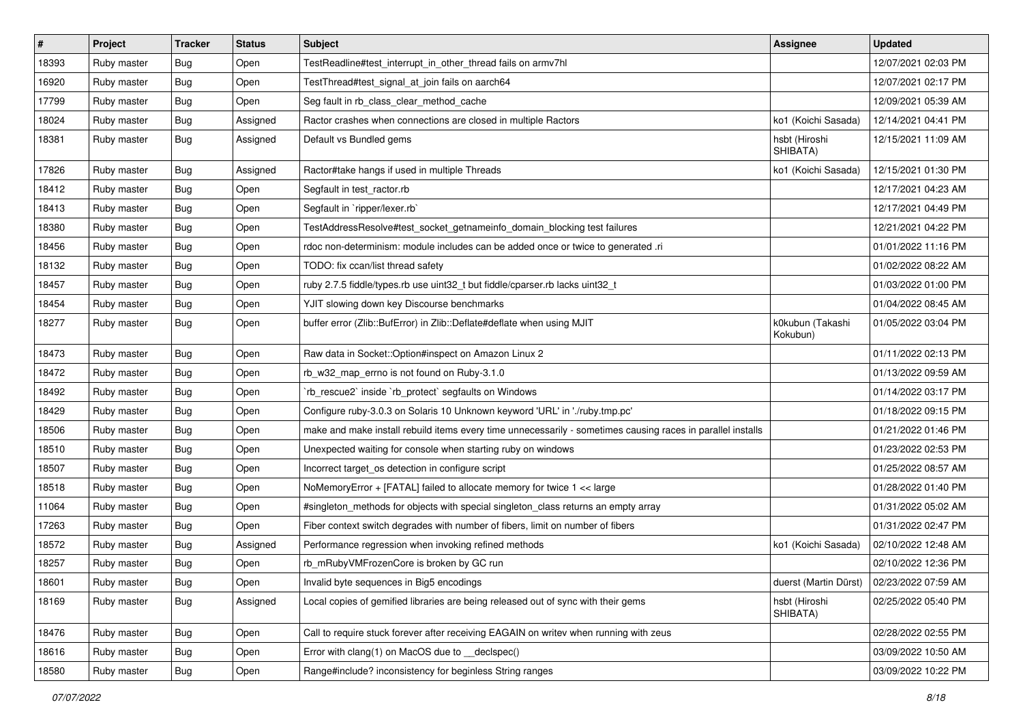| $\pmb{\#}$ | Project     | <b>Tracker</b> | <b>Status</b> | Subject                                                                                                     | Assignee                     | <b>Updated</b>      |
|------------|-------------|----------------|---------------|-------------------------------------------------------------------------------------------------------------|------------------------------|---------------------|
| 18393      | Ruby master | Bug            | Open          | TestReadline#test_interrupt_in_other_thread fails on armv7hl                                                |                              | 12/07/2021 02:03 PM |
| 16920      | Ruby master | <b>Bug</b>     | Open          | TestThread#test_signal_at_join fails on aarch64                                                             |                              | 12/07/2021 02:17 PM |
| 17799      | Ruby master | <b>Bug</b>     | Open          | Seg fault in rb_class_clear_method_cache                                                                    |                              | 12/09/2021 05:39 AM |
| 18024      | Ruby master | <b>Bug</b>     | Assigned      | Ractor crashes when connections are closed in multiple Ractors                                              | ko1 (Koichi Sasada)          | 12/14/2021 04:41 PM |
| 18381      | Ruby master | Bug            | Assigned      | Default vs Bundled gems                                                                                     | hsbt (Hiroshi<br>SHIBATA)    | 12/15/2021 11:09 AM |
| 17826      | Ruby master | <b>Bug</b>     | Assigned      | Ractor#take hangs if used in multiple Threads                                                               | ko1 (Koichi Sasada)          | 12/15/2021 01:30 PM |
| 18412      | Ruby master | Bug            | Open          | Segfault in test_ractor.rb                                                                                  |                              | 12/17/2021 04:23 AM |
| 18413      | Ruby master | <b>Bug</b>     | Open          | Segfault in `ripper/lexer.rb`                                                                               |                              | 12/17/2021 04:49 PM |
| 18380      | Ruby master | <b>Bug</b>     | Open          | TestAddressResolve#test_socket_getnameinfo_domain_blocking test failures                                    |                              | 12/21/2021 04:22 PM |
| 18456      | Ruby master | Bug            | Open          | rdoc non-determinism: module includes can be added once or twice to generated .ri                           |                              | 01/01/2022 11:16 PM |
| 18132      | Ruby master | <b>Bug</b>     | Open          | TODO: fix ccan/list thread safety                                                                           |                              | 01/02/2022 08:22 AM |
| 18457      | Ruby master | Bug            | Open          | ruby 2.7.5 fiddle/types.rb use uint32_t but fiddle/cparser.rb lacks uint32_t                                |                              | 01/03/2022 01:00 PM |
| 18454      | Ruby master | Bug            | Open          | YJIT slowing down key Discourse benchmarks                                                                  |                              | 01/04/2022 08:45 AM |
| 18277      | Ruby master | Bug            | Open          | buffer error (Zlib::BufError) in Zlib::Deflate#deflate when using MJIT                                      | k0kubun (Takashi<br>Kokubun) | 01/05/2022 03:04 PM |
| 18473      | Ruby master | Bug            | Open          | Raw data in Socket:: Option#inspect on Amazon Linux 2                                                       |                              | 01/11/2022 02:13 PM |
| 18472      | Ruby master | <b>Bug</b>     | Open          | rb_w32_map_errno is not found on Ruby-3.1.0                                                                 |                              | 01/13/2022 09:59 AM |
| 18492      | Ruby master | <b>Bug</b>     | Open          | 'rb_rescue2' inside 'rb_protect' segfaults on Windows                                                       |                              | 01/14/2022 03:17 PM |
| 18429      | Ruby master | Bug            | Open          | Configure ruby-3.0.3 on Solaris 10 Unknown keyword 'URL' in './ruby.tmp.pc'                                 |                              | 01/18/2022 09:15 PM |
| 18506      | Ruby master | Bug            | Open          | make and make install rebuild items every time unnecessarily - sometimes causing races in parallel installs |                              | 01/21/2022 01:46 PM |
| 18510      | Ruby master | <b>Bug</b>     | Open          | Unexpected waiting for console when starting ruby on windows                                                |                              | 01/23/2022 02:53 PM |
| 18507      | Ruby master | <b>Bug</b>     | Open          | Incorrect target_os detection in configure script                                                           |                              | 01/25/2022 08:57 AM |
| 18518      | Ruby master | <b>Bug</b>     | Open          | NoMemoryError + [FATAL] failed to allocate memory for twice 1 << large                                      |                              | 01/28/2022 01:40 PM |
| 11064      | Ruby master | Bug            | Open          | #singleton_methods for objects with special singleton_class returns an empty array                          |                              | 01/31/2022 05:02 AM |
| 17263      | Ruby master | <b>Bug</b>     | Open          | Fiber context switch degrades with number of fibers, limit on number of fibers                              |                              | 01/31/2022 02:47 PM |
| 18572      | Ruby master | Bug            | Assigned      | Performance regression when invoking refined methods                                                        | ko1 (Koichi Sasada)          | 02/10/2022 12:48 AM |
| 18257      | Ruby master | <b>Bug</b>     | Open          | rb_mRubyVMFrozenCore is broken by GC run                                                                    |                              | 02/10/2022 12:36 PM |
| 18601      | Ruby master | Bug            | Open          | Invalid byte sequences in Big5 encodings                                                                    | duerst (Martin Dürst)        | 02/23/2022 07:59 AM |
| 18169      | Ruby master | Bug            | Assigned      | Local copies of gemified libraries are being released out of sync with their gems                           | hsbt (Hiroshi<br>SHIBATA)    | 02/25/2022 05:40 PM |
| 18476      | Ruby master | Bug            | Open          | Call to require stuck forever after receiving EAGAIN on writev when running with zeus                       |                              | 02/28/2022 02:55 PM |
| 18616      | Ruby master | Bug            | Open          | Error with clang(1) on MacOS due to declspec()                                                              |                              | 03/09/2022 10:50 AM |
| 18580      | Ruby master | Bug            | Open          | Range#include? inconsistency for beginless String ranges                                                    |                              | 03/09/2022 10:22 PM |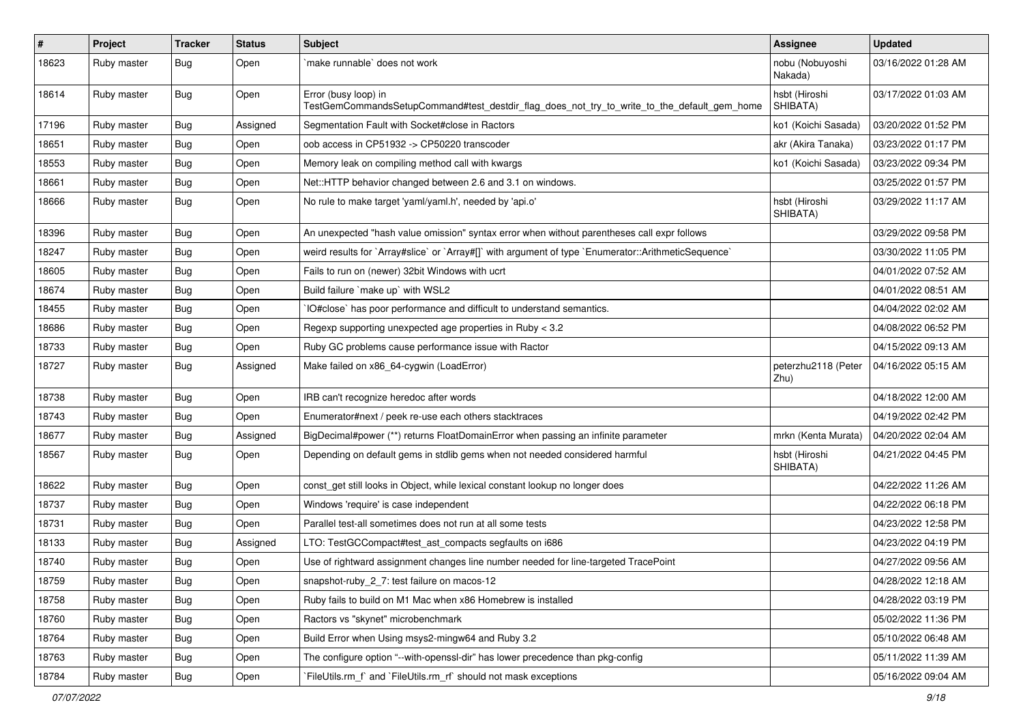| $\vert$ # | Project     | <b>Tracker</b> | <b>Status</b> | <b>Subject</b>                                                                                                      | Assignee                    | <b>Updated</b>      |
|-----------|-------------|----------------|---------------|---------------------------------------------------------------------------------------------------------------------|-----------------------------|---------------------|
| 18623     | Ruby master | Bug            | Open          | make runnable' does not work                                                                                        | nobu (Nobuyoshi<br>Nakada)  | 03/16/2022 01:28 AM |
| 18614     | Ruby master | <b>Bug</b>     | Open          | Error (busy loop) in<br>TestGemCommandsSetupCommand#test_destdir_flag_does_not_try_to_write_to_the_default_gem_home | hsbt (Hiroshi<br>SHIBATA)   | 03/17/2022 01:03 AM |
| 17196     | Ruby master | Bug            | Assigned      | Segmentation Fault with Socket#close in Ractors                                                                     | ko1 (Koichi Sasada)         | 03/20/2022 01:52 PM |
| 18651     | Ruby master | Bug            | Open          | oob access in CP51932 -> CP50220 transcoder                                                                         | akr (Akira Tanaka)          | 03/23/2022 01:17 PM |
| 18553     | Ruby master | <b>Bug</b>     | Open          | Memory leak on compiling method call with kwargs                                                                    | ko1 (Koichi Sasada)         | 03/23/2022 09:34 PM |
| 18661     | Ruby master | Bug            | Open          | Net::HTTP behavior changed between 2.6 and 3.1 on windows.                                                          |                             | 03/25/2022 01:57 PM |
| 18666     | Ruby master | <b>Bug</b>     | Open          | No rule to make target 'yaml/yaml.h', needed by 'api.o'                                                             | hsbt (Hiroshi<br>SHIBATA)   | 03/29/2022 11:17 AM |
| 18396     | Ruby master | Bug            | Open          | An unexpected "hash value omission" syntax error when without parentheses call expr follows                         |                             | 03/29/2022 09:58 PM |
| 18247     | Ruby master | <b>Bug</b>     | Open          | weird results for `Array#slice` or `Array#[]` with argument of type `Enumerator::ArithmeticSequence`                |                             | 03/30/2022 11:05 PM |
| 18605     | Ruby master | <b>Bug</b>     | Open          | Fails to run on (newer) 32bit Windows with ucrt                                                                     |                             | 04/01/2022 07:52 AM |
| 18674     | Ruby master | <b>Bug</b>     | Open          | Build failure `make up` with WSL2                                                                                   |                             | 04/01/2022 08:51 AM |
| 18455     | Ruby master | <b>Bug</b>     | Open          | IO#close` has poor performance and difficult to understand semantics.                                               |                             | 04/04/2022 02:02 AM |
| 18686     | Ruby master | <b>Bug</b>     | Open          | Regexp supporting unexpected age properties in Ruby < 3.2                                                           |                             | 04/08/2022 06:52 PM |
| 18733     | Ruby master | Bug            | Open          | Ruby GC problems cause performance issue with Ractor                                                                |                             | 04/15/2022 09:13 AM |
| 18727     | Ruby master | Bug            | Assigned      | Make failed on x86_64-cygwin (LoadError)                                                                            | peterzhu2118 (Peter<br>Zhu) | 04/16/2022 05:15 AM |
| 18738     | Ruby master | Bug            | Open          | IRB can't recognize heredoc after words                                                                             |                             | 04/18/2022 12:00 AM |
| 18743     | Ruby master | Bug            | Open          | Enumerator#next / peek re-use each others stacktraces                                                               |                             | 04/19/2022 02:42 PM |
| 18677     | Ruby master | <b>Bug</b>     | Assigned      | BigDecimal#power (**) returns FloatDomainError when passing an infinite parameter                                   | mrkn (Kenta Murata)         | 04/20/2022 02:04 AM |
| 18567     | Ruby master | Bug            | Open          | Depending on default gems in stdlib gems when not needed considered harmful                                         | hsbt (Hiroshi<br>SHIBATA)   | 04/21/2022 04:45 PM |
| 18622     | Ruby master | Bug            | Open          | const_get still looks in Object, while lexical constant lookup no longer does                                       |                             | 04/22/2022 11:26 AM |
| 18737     | Ruby master | <b>Bug</b>     | Open          | Windows 'require' is case independent                                                                               |                             | 04/22/2022 06:18 PM |
| 18731     | Ruby master | <b>Bug</b>     | Open          | Parallel test-all sometimes does not run at all some tests                                                          |                             | 04/23/2022 12:58 PM |
| 18133     | Ruby master | <b>Bug</b>     | Assigned      | LTO: TestGCCompact#test_ast_compacts segfaults on i686                                                              |                             | 04/23/2022 04:19 PM |
| 18740     | Ruby master | Bug            | Open          | Use of rightward assignment changes line number needed for line-targeted TracePoint                                 |                             | 04/27/2022 09:56 AM |
| 18759     | Ruby master | Bug            | Open          | snapshot-ruby_2_7: test failure on macos-12                                                                         |                             | 04/28/2022 12:18 AM |
| 18758     | Ruby master | Bug            | Open          | Ruby fails to build on M1 Mac when x86 Homebrew is installed                                                        |                             | 04/28/2022 03:19 PM |
| 18760     | Ruby master | <b>Bug</b>     | Open          | Ractors vs "skynet" microbenchmark                                                                                  |                             | 05/02/2022 11:36 PM |
| 18764     | Ruby master | <b>Bug</b>     | Open          | Build Error when Using msys2-mingw64 and Ruby 3.2                                                                   |                             | 05/10/2022 06:48 AM |
| 18763     | Ruby master | <b>Bug</b>     | Open          | The configure option "--with-openssl-dir" has lower precedence than pkg-config                                      |                             | 05/11/2022 11:39 AM |
| 18784     | Ruby master | <b>Bug</b>     | Open          | FileUtils.rm_f`and `FileUtils.rm_rf` should not mask exceptions                                                     |                             | 05/16/2022 09:04 AM |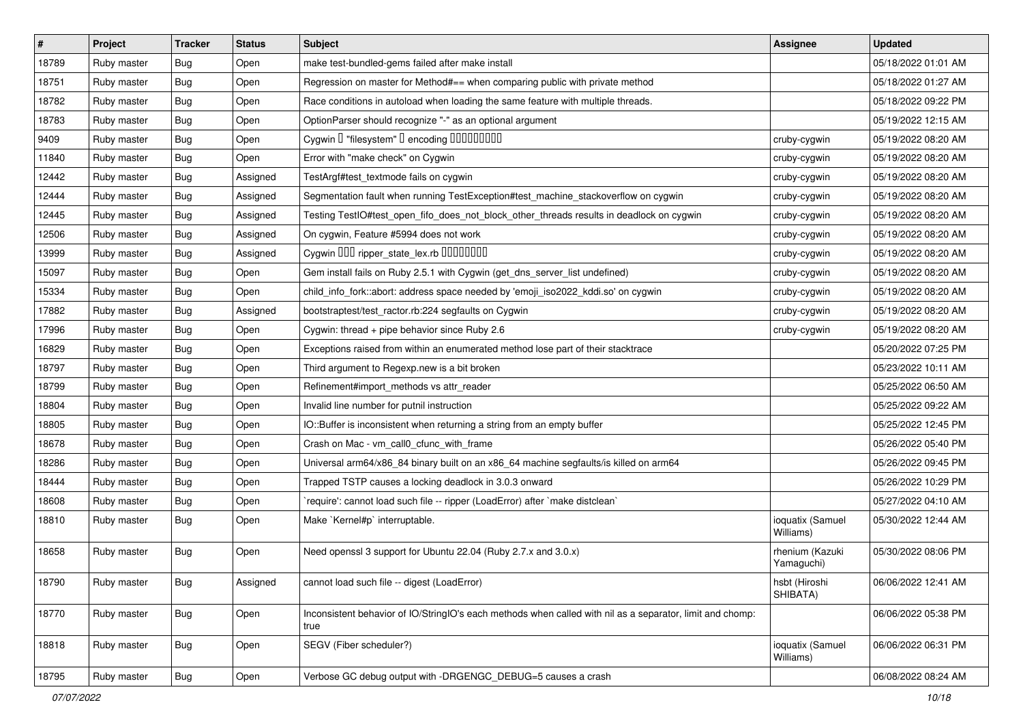| $\vert$ # | Project     | <b>Tracker</b> | <b>Status</b> | Subject                                                                                                           | <b>Assignee</b>               | <b>Updated</b>      |
|-----------|-------------|----------------|---------------|-------------------------------------------------------------------------------------------------------------------|-------------------------------|---------------------|
| 18789     | Ruby master | <b>Bug</b>     | Open          | make test-bundled-gems failed after make install                                                                  |                               | 05/18/2022 01:01 AM |
| 18751     | Ruby master | <b>Bug</b>     | Open          | Regression on master for Method#== when comparing public with private method                                      |                               | 05/18/2022 01:27 AM |
| 18782     | Ruby master | Bug            | Open          | Race conditions in autoload when loading the same feature with multiple threads.                                  |                               | 05/18/2022 09:22 PM |
| 18783     | Ruby master | <b>Bug</b>     | Open          | OptionParser should recognize "-" as an optional argument                                                         |                               | 05/19/2022 12:15 AM |
| 9409      | Ruby master | <b>Bug</b>     | Open          | Cygwin I "filesystem" I encoding IIIIIIIIIIIII                                                                    | cruby-cygwin                  | 05/19/2022 08:20 AM |
| 11840     | Ruby master | Bug            | Open          | Error with "make check" on Cygwin                                                                                 | cruby-cygwin                  | 05/19/2022 08:20 AM |
| 12442     | Ruby master | Bug            | Assigned      | TestArgf#test_textmode fails on cygwin                                                                            | cruby-cygwin                  | 05/19/2022 08:20 AM |
| 12444     | Ruby master | <b>Bug</b>     | Assigned      | Segmentation fault when running TestException#test_machine_stackoverflow on cygwin                                | cruby-cygwin                  | 05/19/2022 08:20 AM |
| 12445     | Ruby master | <b>Bug</b>     | Assigned      | Testing TestIO#test_open_fifo_does_not_block_other_threads results in deadlock on cygwin                          | cruby-cygwin                  | 05/19/2022 08:20 AM |
| 12506     | Ruby master | Bug            | Assigned      | On cygwin, Feature #5994 does not work                                                                            | cruby-cygwin                  | 05/19/2022 08:20 AM |
| 13999     | Ruby master | Bug            | Assigned      | Cygwin 000 ripper_state_lex.rb 0000000                                                                            | cruby-cygwin                  | 05/19/2022 08:20 AM |
| 15097     | Ruby master | <b>Bug</b>     | Open          | Gem install fails on Ruby 2.5.1 with Cygwin (get_dns_server_list undefined)                                       | cruby-cygwin                  | 05/19/2022 08:20 AM |
| 15334     | Ruby master | <b>Bug</b>     | Open          | child info fork::abort: address space needed by 'emoji iso2022 kddi.so' on cygwin                                 | cruby-cygwin                  | 05/19/2022 08:20 AM |
| 17882     | Ruby master | <b>Bug</b>     | Assigned      | bootstraptest/test_ractor.rb:224 segfaults on Cygwin                                                              | cruby-cygwin                  | 05/19/2022 08:20 AM |
| 17996     | Ruby master | <b>Bug</b>     | Open          | Cygwin: thread + pipe behavior since Ruby 2.6                                                                     | cruby-cygwin                  | 05/19/2022 08:20 AM |
| 16829     | Ruby master | Bug            | Open          | Exceptions raised from within an enumerated method lose part of their stacktrace                                  |                               | 05/20/2022 07:25 PM |
| 18797     | Ruby master | <b>Bug</b>     | Open          | Third argument to Regexp.new is a bit broken                                                                      |                               | 05/23/2022 10:11 AM |
| 18799     | Ruby master | <b>Bug</b>     | Open          | Refinement#import_methods vs attr_reader                                                                          |                               | 05/25/2022 06:50 AM |
| 18804     | Ruby master | <b>Bug</b>     | Open          | Invalid line number for putnil instruction                                                                        |                               | 05/25/2022 09:22 AM |
| 18805     | Ruby master | <b>Bug</b>     | Open          | IO::Buffer is inconsistent when returning a string from an empty buffer                                           |                               | 05/25/2022 12:45 PM |
| 18678     | Ruby master | <b>Bug</b>     | Open          | Crash on Mac - vm_call0_cfunc_with_frame                                                                          |                               | 05/26/2022 05:40 PM |
| 18286     | Ruby master | <b>Bug</b>     | Open          | Universal arm64/x86_84 binary built on an x86_64 machine segfaults/is killed on arm64                             |                               | 05/26/2022 09:45 PM |
| 18444     | Ruby master | <b>Bug</b>     | Open          | Trapped TSTP causes a locking deadlock in 3.0.3 onward                                                            |                               | 05/26/2022 10:29 PM |
| 18608     | Ruby master | <b>Bug</b>     | Open          | require': cannot load such file -- ripper (LoadError) after `make distclean`                                      |                               | 05/27/2022 04:10 AM |
| 18810     | Ruby master | <b>Bug</b>     | Open          | Make `Kernel#p` interruptable.                                                                                    | ioquatix (Samuel<br>Williams) | 05/30/2022 12:44 AM |
| 18658     | Ruby master | Bug            | Open          | Need openssl 3 support for Ubuntu 22.04 (Ruby 2.7.x and 3.0.x)                                                    | rhenium (Kazuki<br>Yamaguchi) | 05/30/2022 08:06 PM |
| 18790     | Ruby master | <b>Bug</b>     | Assigned      | cannot load such file -- digest (LoadError)                                                                       | hsbt (Hiroshi<br>SHIBATA)     | 06/06/2022 12:41 AM |
| 18770     | Ruby master | <b>Bug</b>     | Open          | Inconsistent behavior of IO/StringIO's each methods when called with nil as a separator, limit and chomp:<br>true |                               | 06/06/2022 05:38 PM |
| 18818     | Ruby master | <b>Bug</b>     | Open          | SEGV (Fiber scheduler?)                                                                                           | ioquatix (Samuel<br>Williams) | 06/06/2022 06:31 PM |
| 18795     | Ruby master | <b>Bug</b>     | Open          | Verbose GC debug output with -DRGENGC_DEBUG=5 causes a crash                                                      |                               | 06/08/2022 08:24 AM |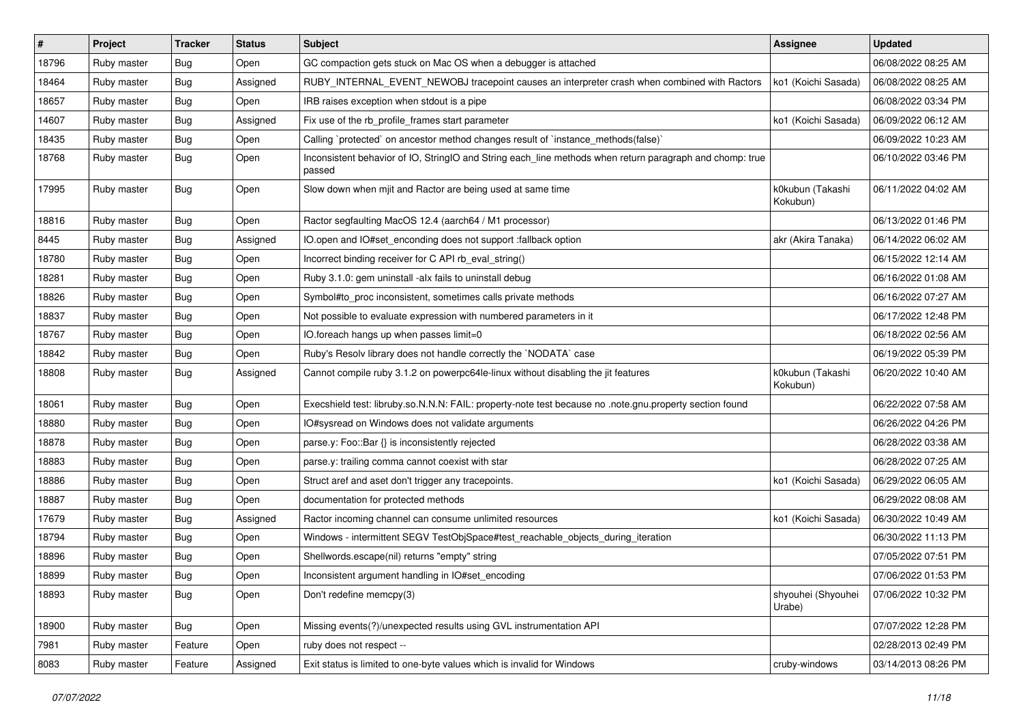| $\pmb{\#}$ | Project     | <b>Tracker</b> | <b>Status</b> | <b>Subject</b>                                                                                                     | <b>Assignee</b>              | <b>Updated</b>      |
|------------|-------------|----------------|---------------|--------------------------------------------------------------------------------------------------------------------|------------------------------|---------------------|
| 18796      | Ruby master | Bug            | Open          | GC compaction gets stuck on Mac OS when a debugger is attached                                                     |                              | 06/08/2022 08:25 AM |
| 18464      | Ruby master | <b>Bug</b>     | Assigned      | RUBY_INTERNAL_EVENT_NEWOBJ tracepoint causes an interpreter crash when combined with Ractors                       | ko1 (Koichi Sasada)          | 06/08/2022 08:25 AM |
| 18657      | Ruby master | Bug            | Open          | IRB raises exception when stdout is a pipe                                                                         |                              | 06/08/2022 03:34 PM |
| 14607      | Ruby master | Bug            | Assigned      | Fix use of the rb_profile_frames start parameter                                                                   | ko1 (Koichi Sasada)          | 06/09/2022 06:12 AM |
| 18435      | Ruby master | <b>Bug</b>     | Open          | Calling `protected` on ancestor method changes result of `instance_methods(false)`                                 |                              | 06/09/2022 10:23 AM |
| 18768      | Ruby master | Bug            | Open          | Inconsistent behavior of IO, StringIO and String each_line methods when return paragraph and chomp: true<br>passed |                              | 06/10/2022 03:46 PM |
| 17995      | Ruby master | Bug            | Open          | Slow down when mjit and Ractor are being used at same time                                                         | k0kubun (Takashi<br>Kokubun) | 06/11/2022 04:02 AM |
| 18816      | Ruby master | <b>Bug</b>     | Open          | Ractor segfaulting MacOS 12.4 (aarch64 / M1 processor)                                                             |                              | 06/13/2022 01:46 PM |
| 8445       | Ruby master | Bug            | Assigned      | IO.open and IO#set enconding does not support :fallback option                                                     | akr (Akira Tanaka)           | 06/14/2022 06:02 AM |
| 18780      | Ruby master | <b>Bug</b>     | Open          | Incorrect binding receiver for C API rb_eval_string()                                                              |                              | 06/15/2022 12:14 AM |
| 18281      | Ruby master | Bug            | Open          | Ruby 3.1.0: gem uninstall -alx fails to uninstall debug                                                            |                              | 06/16/2022 01:08 AM |
| 18826      | Ruby master | <b>Bug</b>     | Open          | Symbol#to proc inconsistent, sometimes calls private methods                                                       |                              | 06/16/2022 07:27 AM |
| 18837      | Ruby master | <b>Bug</b>     | Open          | Not possible to evaluate expression with numbered parameters in it                                                 |                              | 06/17/2022 12:48 PM |
| 18767      | Ruby master | Bug            | Open          | IO.foreach hangs up when passes limit=0                                                                            |                              | 06/18/2022 02:56 AM |
| 18842      | Ruby master | <b>Bug</b>     | Open          | Ruby's Resolv library does not handle correctly the `NODATA` case                                                  |                              | 06/19/2022 05:39 PM |
| 18808      | Ruby master | Bug            | Assigned      | Cannot compile ruby 3.1.2 on powerpc64le-linux without disabling the jit features                                  | k0kubun (Takashi<br>Kokubun) | 06/20/2022 10:40 AM |
| 18061      | Ruby master | Bug            | Open          | Execshield test: libruby.so.N.N.N: FAIL: property-note test because no .note.gnu.property section found            |                              | 06/22/2022 07:58 AM |
| 18880      | Ruby master | <b>Bug</b>     | Open          | IO#sysread on Windows does not validate arguments                                                                  |                              | 06/26/2022 04:26 PM |
| 18878      | Ruby master | Bug            | Open          | parse.y: Foo::Bar {} is inconsistently rejected                                                                    |                              | 06/28/2022 03:38 AM |
| 18883      | Ruby master | <b>Bug</b>     | Open          | parse.y: trailing comma cannot coexist with star                                                                   |                              | 06/28/2022 07:25 AM |
| 18886      | Ruby master | Bug            | Open          | Struct aref and aset don't trigger any tracepoints.                                                                | ko1 (Koichi Sasada)          | 06/29/2022 06:05 AM |
| 18887      | Ruby master | <b>Bug</b>     | Open          | documentation for protected methods                                                                                |                              | 06/29/2022 08:08 AM |
| 17679      | Ruby master | <b>Bug</b>     | Assigned      | Ractor incoming channel can consume unlimited resources                                                            | ko1 (Koichi Sasada)          | 06/30/2022 10:49 AM |
| 18794      | Ruby master | <b>Bug</b>     | Open          | Windows - intermittent SEGV TestObjSpace#test_reachable_objects_during_iteration                                   |                              | 06/30/2022 11:13 PM |
| 18896      | Ruby master | Bug            | Open          | Shellwords.escape(nil) returns "empty" string                                                                      |                              | 07/05/2022 07:51 PM |
| 18899      | Ruby master | Bug            | Open          | Inconsistent argument handling in IO#set_encoding                                                                  |                              | 07/06/2022 01:53 PM |
| 18893      | Ruby master | <b>Bug</b>     | Open          | Don't redefine memcpy(3)                                                                                           | shyouhei (Shyouhei<br>Urabe) | 07/06/2022 10:32 PM |
| 18900      | Ruby master | Bug            | Open          | Missing events(?)/unexpected results using GVL instrumentation API                                                 |                              | 07/07/2022 12:28 PM |
| 7981       | Ruby master | Feature        | Open          | ruby does not respect --                                                                                           |                              | 02/28/2013 02:49 PM |
| 8083       | Ruby master | Feature        | Assigned      | Exit status is limited to one-byte values which is invalid for Windows                                             | cruby-windows                | 03/14/2013 08:26 PM |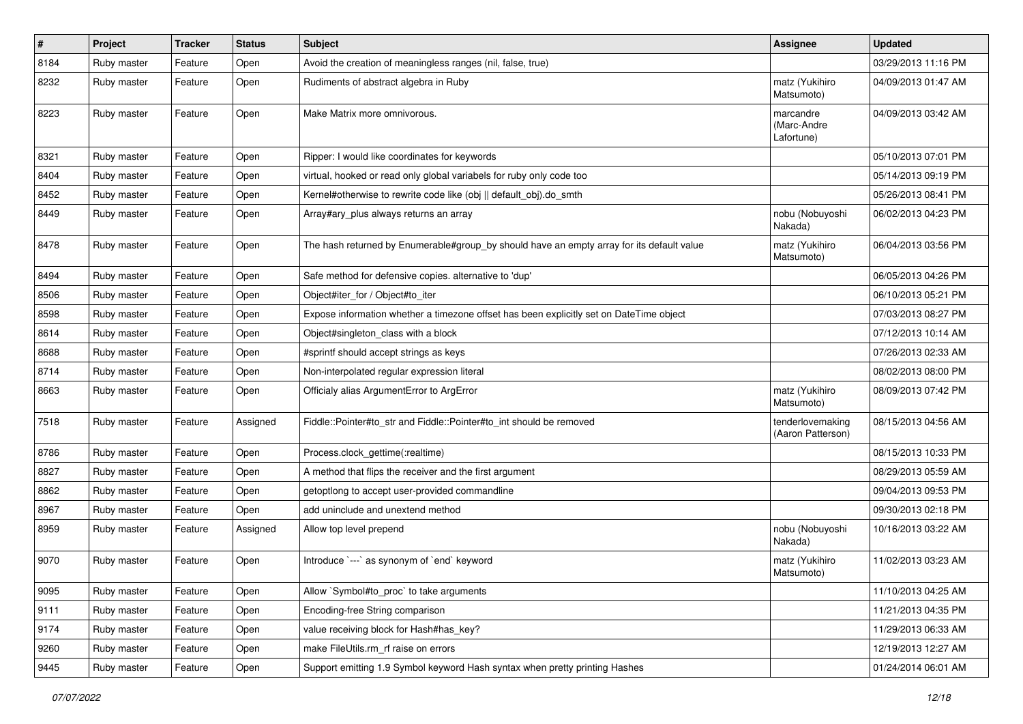| $\sharp$ | Project     | Tracker | <b>Status</b> | <b>Subject</b>                                                                            | Assignee                               | <b>Updated</b>      |
|----------|-------------|---------|---------------|-------------------------------------------------------------------------------------------|----------------------------------------|---------------------|
| 8184     | Ruby master | Feature | Open          | Avoid the creation of meaningless ranges (nil, false, true)                               |                                        | 03/29/2013 11:16 PM |
| 8232     | Ruby master | Feature | Open          | Rudiments of abstract algebra in Ruby                                                     | matz (Yukihiro<br>Matsumoto)           | 04/09/2013 01:47 AM |
| 8223     | Ruby master | Feature | Open          | Make Matrix more omnivorous.                                                              | marcandre<br>(Marc-Andre<br>Lafortune) | 04/09/2013 03:42 AM |
| 8321     | Ruby master | Feature | Open          | Ripper: I would like coordinates for keywords                                             |                                        | 05/10/2013 07:01 PM |
| 8404     | Ruby master | Feature | Open          | virtual, hooked or read only global variabels for ruby only code too                      |                                        | 05/14/2013 09:19 PM |
| 8452     | Ruby master | Feature | Open          | Kernel#otherwise to rewrite code like (obj    default_obj).do_smth                        |                                        | 05/26/2013 08:41 PM |
| 8449     | Ruby master | Feature | Open          | Array#ary_plus always returns an array                                                    | nobu (Nobuyoshi<br>Nakada)             | 06/02/2013 04:23 PM |
| 8478     | Ruby master | Feature | Open          | The hash returned by Enumerable#group_by should have an empty array for its default value | matz (Yukihiro<br>Matsumoto)           | 06/04/2013 03:56 PM |
| 8494     | Ruby master | Feature | Open          | Safe method for defensive copies. alternative to 'dup'                                    |                                        | 06/05/2013 04:26 PM |
| 8506     | Ruby master | Feature | Open          | Object#iter_for / Object#to_iter                                                          |                                        | 06/10/2013 05:21 PM |
| 8598     | Ruby master | Feature | Open          | Expose information whether a timezone offset has been explicitly set on DateTime object   |                                        | 07/03/2013 08:27 PM |
| 8614     | Ruby master | Feature | Open          | Object#singleton_class with a block                                                       |                                        | 07/12/2013 10:14 AM |
| 8688     | Ruby master | Feature | Open          | #sprintf should accept strings as keys                                                    |                                        | 07/26/2013 02:33 AM |
| 8714     | Ruby master | Feature | Open          | Non-interpolated regular expression literal                                               |                                        | 08/02/2013 08:00 PM |
| 8663     | Ruby master | Feature | Open          | Officialy alias ArgumentError to ArgError                                                 | matz (Yukihiro<br>Matsumoto)           | 08/09/2013 07:42 PM |
| 7518     | Ruby master | Feature | Assigned      | Fiddle::Pointer#to_str and Fiddle::Pointer#to_int should be removed                       | tenderlovemaking<br>(Aaron Patterson)  | 08/15/2013 04:56 AM |
| 8786     | Ruby master | Feature | Open          | Process.clock_gettime(:realtime)                                                          |                                        | 08/15/2013 10:33 PM |
| 8827     | Ruby master | Feature | Open          | A method that flips the receiver and the first argument                                   |                                        | 08/29/2013 05:59 AM |
| 8862     | Ruby master | Feature | Open          | getoptlong to accept user-provided commandline                                            |                                        | 09/04/2013 09:53 PM |
| 8967     | Ruby master | Feature | Open          | add uninclude and unextend method                                                         |                                        | 09/30/2013 02:18 PM |
| 8959     | Ruby master | Feature | Assigned      | Allow top level prepend                                                                   | nobu (Nobuyoshi<br>Nakada)             | 10/16/2013 03:22 AM |
| 9070     | Ruby master | Feature | Open          | Introduce `---` as synonym of `end` keyword                                               | matz (Yukihiro<br>Matsumoto)           | 11/02/2013 03:23 AM |
| 9095     | Ruby master | Feature | Open          | Allow `Symbol#to_proc` to take arguments                                                  |                                        | 11/10/2013 04:25 AM |
| 9111     | Ruby master | Feature | Open          | Encoding-free String comparison                                                           |                                        | 11/21/2013 04:35 PM |
| 9174     | Ruby master | Feature | Open          | value receiving block for Hash#has_key?                                                   |                                        | 11/29/2013 06:33 AM |
| 9260     | Ruby master | Feature | Open          | make FileUtils.rm rf raise on errors                                                      |                                        | 12/19/2013 12:27 AM |
| 9445     | Ruby master | Feature | Open          | Support emitting 1.9 Symbol keyword Hash syntax when pretty printing Hashes               |                                        | 01/24/2014 06:01 AM |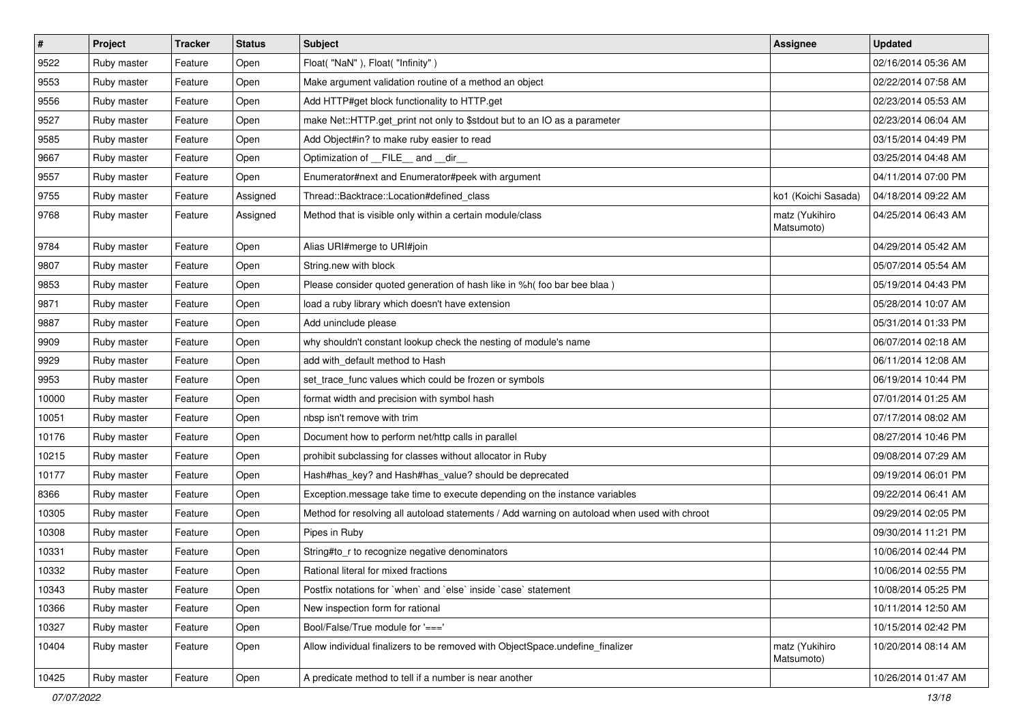| $\vert$ # | Project     | <b>Tracker</b> | <b>Status</b> | <b>Subject</b>                                                                               | Assignee                     | <b>Updated</b>      |
|-----------|-------------|----------------|---------------|----------------------------------------------------------------------------------------------|------------------------------|---------------------|
| 9522      | Ruby master | Feature        | Open          | Float("NaN"), Float("Infinity")                                                              |                              | 02/16/2014 05:36 AM |
| 9553      | Ruby master | Feature        | Open          | Make argument validation routine of a method an object                                       |                              | 02/22/2014 07:58 AM |
| 9556      | Ruby master | Feature        | Open          | Add HTTP#get block functionality to HTTP.get                                                 |                              | 02/23/2014 05:53 AM |
| 9527      | Ruby master | Feature        | Open          | make Net::HTTP.get_print not only to \$stdout but to an IO as a parameter                    |                              | 02/23/2014 06:04 AM |
| 9585      | Ruby master | Feature        | Open          | Add Object#in? to make ruby easier to read                                                   |                              | 03/15/2014 04:49 PM |
| 9667      | Ruby master | Feature        | Open          | Optimization of FILE_and _dir_                                                               |                              | 03/25/2014 04:48 AM |
| 9557      | Ruby master | Feature        | Open          | Enumerator#next and Enumerator#peek with argument                                            |                              | 04/11/2014 07:00 PM |
| 9755      | Ruby master | Feature        | Assigned      | Thread::Backtrace::Location#defined_class                                                    | ko1 (Koichi Sasada)          | 04/18/2014 09:22 AM |
| 9768      | Ruby master | Feature        | Assigned      | Method that is visible only within a certain module/class                                    | matz (Yukihiro<br>Matsumoto) | 04/25/2014 06:43 AM |
| 9784      | Ruby master | Feature        | Open          | Alias URI#merge to URI#join                                                                  |                              | 04/29/2014 05:42 AM |
| 9807      | Ruby master | Feature        | Open          | String.new with block                                                                        |                              | 05/07/2014 05:54 AM |
| 9853      | Ruby master | Feature        | Open          | Please consider quoted generation of hash like in %h( foo bar bee blaa )                     |                              | 05/19/2014 04:43 PM |
| 9871      | Ruby master | Feature        | Open          | load a ruby library which doesn't have extension                                             |                              | 05/28/2014 10:07 AM |
| 9887      | Ruby master | Feature        | Open          | Add uninclude please                                                                         |                              | 05/31/2014 01:33 PM |
| 9909      | Ruby master | Feature        | Open          | why shouldn't constant lookup check the nesting of module's name                             |                              | 06/07/2014 02:18 AM |
| 9929      | Ruby master | Feature        | Open          | add with_default method to Hash                                                              |                              | 06/11/2014 12:08 AM |
| 9953      | Ruby master | Feature        | Open          | set_trace_func values which could be frozen or symbols                                       |                              | 06/19/2014 10:44 PM |
| 10000     | Ruby master | Feature        | Open          | format width and precision with symbol hash                                                  |                              | 07/01/2014 01:25 AM |
| 10051     | Ruby master | Feature        | Open          | nbsp isn't remove with trim                                                                  |                              | 07/17/2014 08:02 AM |
| 10176     | Ruby master | Feature        | Open          | Document how to perform net/http calls in parallel                                           |                              | 08/27/2014 10:46 PM |
| 10215     | Ruby master | Feature        | Open          | prohibit subclassing for classes without allocator in Ruby                                   |                              | 09/08/2014 07:29 AM |
| 10177     | Ruby master | Feature        | Open          | Hash#has_key? and Hash#has_value? should be deprecated                                       |                              | 09/19/2014 06:01 PM |
| 8366      | Ruby master | Feature        | Open          | Exception.message take time to execute depending on the instance variables                   |                              | 09/22/2014 06:41 AM |
| 10305     | Ruby master | Feature        | Open          | Method for resolving all autoload statements / Add warning on autoload when used with chroot |                              | 09/29/2014 02:05 PM |
| 10308     | Ruby master | Feature        | Open          | Pipes in Ruby                                                                                |                              | 09/30/2014 11:21 PM |
| 10331     | Ruby master | Feature        | Open          | String#to_r to recognize negative denominators                                               |                              | 10/06/2014 02:44 PM |
| 10332     | Ruby master | Feature        | Open          | Rational literal for mixed fractions                                                         |                              | 10/06/2014 02:55 PM |
| 10343     | Ruby master | Feature        | Open          | Postfix notations for 'when' and 'else' inside 'case' statement                              |                              | 10/08/2014 05:25 PM |
| 10366     | Ruby master | Feature        | Open          | New inspection form for rational                                                             |                              | 10/11/2014 12:50 AM |
| 10327     | Ruby master | Feature        | Open          | Bool/False/True module for '==='                                                             |                              | 10/15/2014 02:42 PM |
| 10404     | Ruby master | Feature        | Open          | Allow individual finalizers to be removed with ObjectSpace.undefine finalizer                | matz (Yukihiro<br>Matsumoto) | 10/20/2014 08:14 AM |
| 10425     | Ruby master | Feature        | Open          | A predicate method to tell if a number is near another                                       |                              | 10/26/2014 01:47 AM |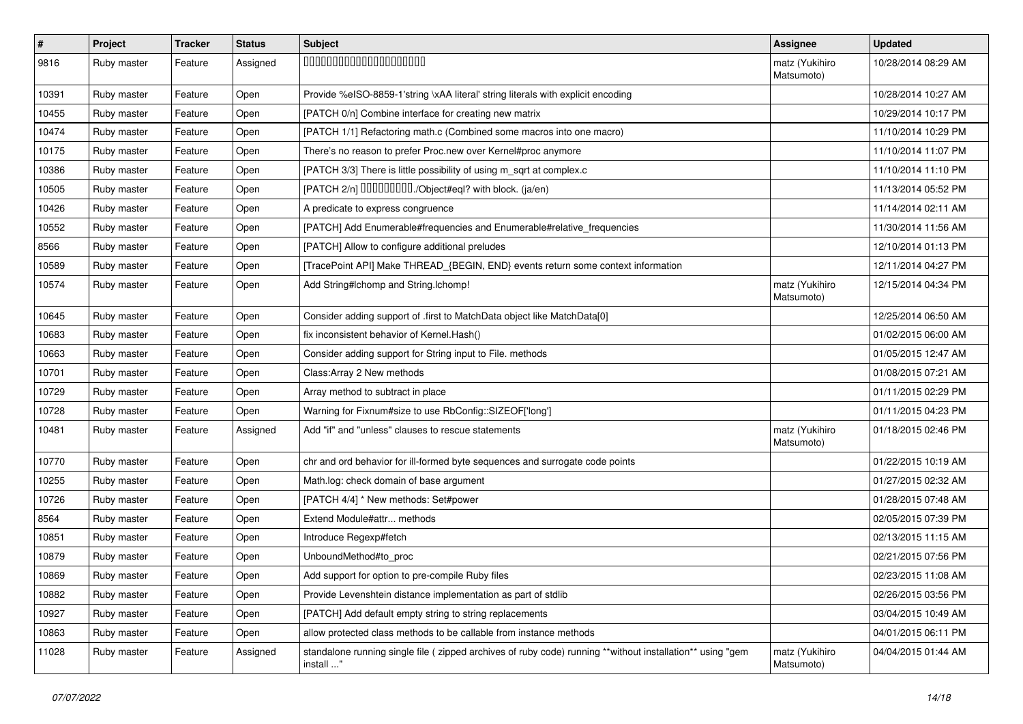| $\vert$ # | Project     | <b>Tracker</b> | <b>Status</b> | <b>Subject</b>                                                                                                          | <b>Assignee</b>              | <b>Updated</b>      |
|-----------|-------------|----------------|---------------|-------------------------------------------------------------------------------------------------------------------------|------------------------------|---------------------|
| 9816      | Ruby master | Feature        | Assigned      | 00000000000000000000                                                                                                    | matz (Yukihiro<br>Matsumoto) | 10/28/2014 08:29 AM |
| 10391     | Ruby master | Feature        | Open          | Provide %eISO-8859-1'string \xAA literal' string literals with explicit encoding                                        |                              | 10/28/2014 10:27 AM |
| 10455     | Ruby master | Feature        | Open          | [PATCH 0/n] Combine interface for creating new matrix                                                                   |                              | 10/29/2014 10:17 PM |
| 10474     | Ruby master | Feature        | Open          | [PATCH 1/1] Refactoring math.c (Combined some macros into one macro)                                                    |                              | 11/10/2014 10:29 PM |
| 10175     | Ruby master | Feature        | Open          | There's no reason to prefer Proc.new over Kernel#proc anymore                                                           |                              | 11/10/2014 11:07 PM |
| 10386     | Ruby master | Feature        | Open          | [PATCH 3/3] There is little possibility of using m_sqrt at complex.c                                                    |                              | 11/10/2014 11:10 PM |
| 10505     | Ruby master | Feature        | Open          | [PATCH 2/n] DDDDDDDD./Object#eql? with block. (ja/en)                                                                   |                              | 11/13/2014 05:52 PM |
| 10426     | Ruby master | Feature        | Open          | A predicate to express congruence                                                                                       |                              | 11/14/2014 02:11 AM |
| 10552     | Ruby master | Feature        | Open          | [PATCH] Add Enumerable#frequencies and Enumerable#relative_frequencies                                                  |                              | 11/30/2014 11:56 AM |
| 8566      | Ruby master | Feature        | Open          | [PATCH] Allow to configure additional preludes                                                                          |                              | 12/10/2014 01:13 PM |
| 10589     | Ruby master | Feature        | Open          | [TracePoint API] Make THREAD_{BEGIN, END} events return some context information                                        |                              | 12/11/2014 04:27 PM |
| 10574     | Ruby master | Feature        | Open          | Add String#Ichomp and String.Ichomp!                                                                                    | matz (Yukihiro<br>Matsumoto) | 12/15/2014 04:34 PM |
| 10645     | Ruby master | Feature        | Open          | Consider adding support of .first to MatchData object like MatchData[0]                                                 |                              | 12/25/2014 06:50 AM |
| 10683     | Ruby master | Feature        | Open          | fix inconsistent behavior of Kernel.Hash()                                                                              |                              | 01/02/2015 06:00 AM |
| 10663     | Ruby master | Feature        | Open          | Consider adding support for String input to File. methods                                                               |                              | 01/05/2015 12:47 AM |
| 10701     | Ruby master | Feature        | Open          | Class: Array 2 New methods                                                                                              |                              | 01/08/2015 07:21 AM |
| 10729     | Ruby master | Feature        | Open          | Array method to subtract in place                                                                                       |                              | 01/11/2015 02:29 PM |
| 10728     | Ruby master | Feature        | Open          | Warning for Fixnum#size to use RbConfig::SIZEOF['long']                                                                 |                              | 01/11/2015 04:23 PM |
| 10481     | Ruby master | Feature        | Assigned      | Add "if" and "unless" clauses to rescue statements                                                                      | matz (Yukihiro<br>Matsumoto) | 01/18/2015 02:46 PM |
| 10770     | Ruby master | Feature        | Open          | chr and ord behavior for ill-formed byte sequences and surrogate code points                                            |                              | 01/22/2015 10:19 AM |
| 10255     | Ruby master | Feature        | Open          | Math.log: check domain of base argument                                                                                 |                              | 01/27/2015 02:32 AM |
| 10726     | Ruby master | Feature        | Open          | [PATCH 4/4] * New methods: Set#power                                                                                    |                              | 01/28/2015 07:48 AM |
| 8564      | Ruby master | Feature        | Open          | Extend Module#attr methods                                                                                              |                              | 02/05/2015 07:39 PM |
| 10851     | Ruby master | Feature        | Open          | Introduce Regexp#fetch                                                                                                  |                              | 02/13/2015 11:15 AM |
| 10879     | Ruby master | Feature        | Open          | UnboundMethod#to_proc                                                                                                   |                              | 02/21/2015 07:56 PM |
| 10869     | Ruby master | Feature        | Open          | Add support for option to pre-compile Ruby files                                                                        |                              | 02/23/2015 11:08 AM |
| 10882     | Ruby master | Feature        | Open          | Provide Levenshtein distance implementation as part of stdlib                                                           |                              | 02/26/2015 03:56 PM |
| 10927     | Ruby master | Feature        | Open          | [PATCH] Add default empty string to string replacements                                                                 |                              | 03/04/2015 10:49 AM |
| 10863     | Ruby master | Feature        | Open          | allow protected class methods to be callable from instance methods                                                      |                              | 04/01/2015 06:11 PM |
| 11028     | Ruby master | Feature        | Assigned      | standalone running single file ( zipped archives of ruby code) running **without installation** using "gem<br>install " | matz (Yukihiro<br>Matsumoto) | 04/04/2015 01:44 AM |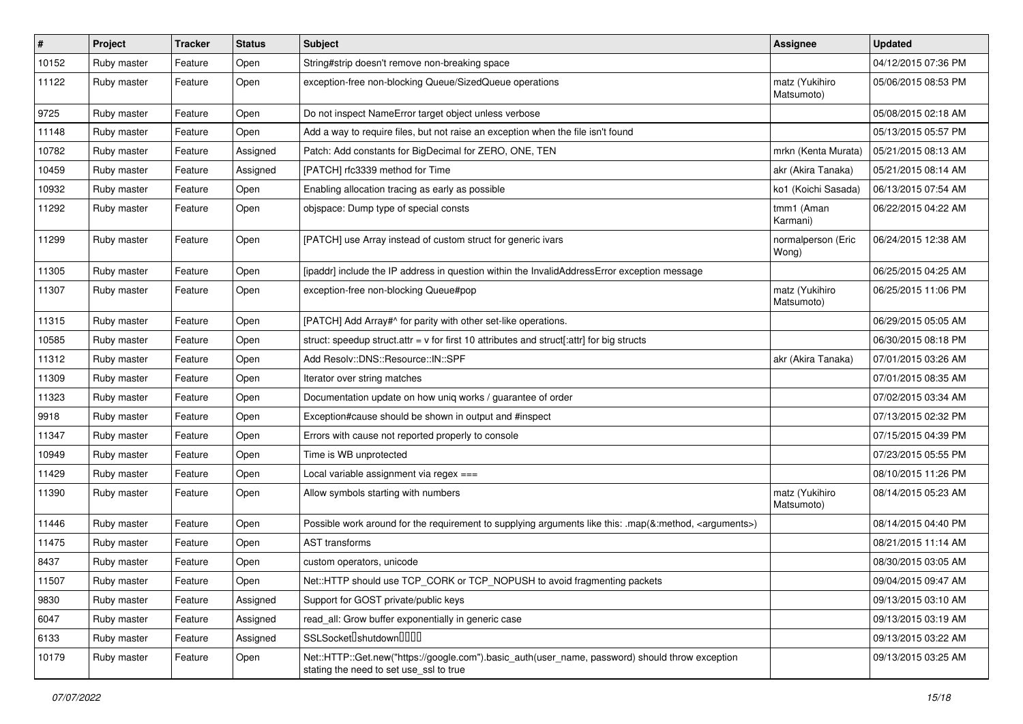| #     | Project     | <b>Tracker</b> | <b>Status</b> | Subject                                                                                                                                    | <b>Assignee</b>              | <b>Updated</b>      |
|-------|-------------|----------------|---------------|--------------------------------------------------------------------------------------------------------------------------------------------|------------------------------|---------------------|
| 10152 | Ruby master | Feature        | Open          | String#strip doesn't remove non-breaking space                                                                                             |                              | 04/12/2015 07:36 PM |
| 11122 | Ruby master | Feature        | Open          | exception-free non-blocking Queue/SizedQueue operations                                                                                    | matz (Yukihiro<br>Matsumoto) | 05/06/2015 08:53 PM |
| 9725  | Ruby master | Feature        | Open          | Do not inspect NameError target object unless verbose                                                                                      |                              | 05/08/2015 02:18 AM |
| 11148 | Ruby master | Feature        | Open          | Add a way to require files, but not raise an exception when the file isn't found                                                           |                              | 05/13/2015 05:57 PM |
| 10782 | Ruby master | Feature        | Assigned      | Patch: Add constants for BigDecimal for ZERO, ONE, TEN                                                                                     | mrkn (Kenta Murata)          | 05/21/2015 08:13 AM |
| 10459 | Ruby master | Feature        | Assigned      | [PATCH] rfc3339 method for Time                                                                                                            | akr (Akira Tanaka)           | 05/21/2015 08:14 AM |
| 10932 | Ruby master | Feature        | Open          | Enabling allocation tracing as early as possible                                                                                           | ko1 (Koichi Sasada)          | 06/13/2015 07:54 AM |
| 11292 | Ruby master | Feature        | Open          | objspace: Dump type of special consts                                                                                                      | tmm1 (Aman<br>Karmani)       | 06/22/2015 04:22 AM |
| 11299 | Ruby master | Feature        | Open          | [PATCH] use Array instead of custom struct for generic ivars                                                                               | normalperson (Eric<br>Wong)  | 06/24/2015 12:38 AM |
| 11305 | Ruby master | Feature        | Open          | [ipaddr] include the IP address in question within the InvalidAddressError exception message                                               |                              | 06/25/2015 04:25 AM |
| 11307 | Ruby master | Feature        | Open          | exception-free non-blocking Queue#pop                                                                                                      | matz (Yukihiro<br>Matsumoto) | 06/25/2015 11:06 PM |
| 11315 | Ruby master | Feature        | Open          | [PATCH] Add Array#^ for parity with other set-like operations.                                                                             |                              | 06/29/2015 05:05 AM |
| 10585 | Ruby master | Feature        | Open          | struct: speedup struct.attr = $v$ for first 10 attributes and struct[:attr] for big structs                                                |                              | 06/30/2015 08:18 PM |
| 11312 | Ruby master | Feature        | Open          | Add Resolv::DNS::Resource::IN::SPF                                                                                                         | akr (Akira Tanaka)           | 07/01/2015 03:26 AM |
| 11309 | Ruby master | Feature        | Open          | Iterator over string matches                                                                                                               |                              | 07/01/2015 08:35 AM |
| 11323 | Ruby master | Feature        | Open          | Documentation update on how uniq works / guarantee of order                                                                                |                              | 07/02/2015 03:34 AM |
| 9918  | Ruby master | Feature        | Open          | Exception#cause should be shown in output and #inspect                                                                                     |                              | 07/13/2015 02:32 PM |
| 11347 | Ruby master | Feature        | Open          | Errors with cause not reported properly to console                                                                                         |                              | 07/15/2015 04:39 PM |
| 10949 | Ruby master | Feature        | Open          | Time is WB unprotected                                                                                                                     |                              | 07/23/2015 05:55 PM |
| 11429 | Ruby master | Feature        | Open          | Local variable assignment via regex ===                                                                                                    |                              | 08/10/2015 11:26 PM |
| 11390 | Ruby master | Feature        | Open          | Allow symbols starting with numbers                                                                                                        | matz (Yukihiro<br>Matsumoto) | 08/14/2015 05:23 AM |
| 11446 | Ruby master | Feature        | Open          | Possible work around for the requirement to supplying arguments like this: .map(&:method, <arguments>)</arguments>                         |                              | 08/14/2015 04:40 PM |
| 11475 | Ruby master | Feature        | Open          | <b>AST</b> transforms                                                                                                                      |                              | 08/21/2015 11:14 AM |
| 8437  | Ruby master | Feature        | Open          | custom operators, unicode                                                                                                                  |                              | 08/30/2015 03:05 AM |
| 11507 | Ruby master | Feature        | Open          | Net::HTTP should use TCP_CORK or TCP_NOPUSH to avoid fragmenting packets                                                                   |                              | 09/04/2015 09:47 AM |
| 9830  | Ruby master | Feature        | Assigned      | Support for GOST private/public keys                                                                                                       |                              | 09/13/2015 03:10 AM |
| 6047  | Ruby master | Feature        | Assigned      | read_all: Grow buffer exponentially in generic case                                                                                        |                              | 09/13/2015 03:19 AM |
| 6133  | Ruby master | Feature        | Assigned      | SSLSocketDshutdownDDDD                                                                                                                     |                              | 09/13/2015 03:22 AM |
| 10179 | Ruby master | Feature        | Open          | Net::HTTP::Get.new("https://google.com").basic_auth(user_name, password) should throw exception<br>stating the need to set use_ssl to true |                              | 09/13/2015 03:25 AM |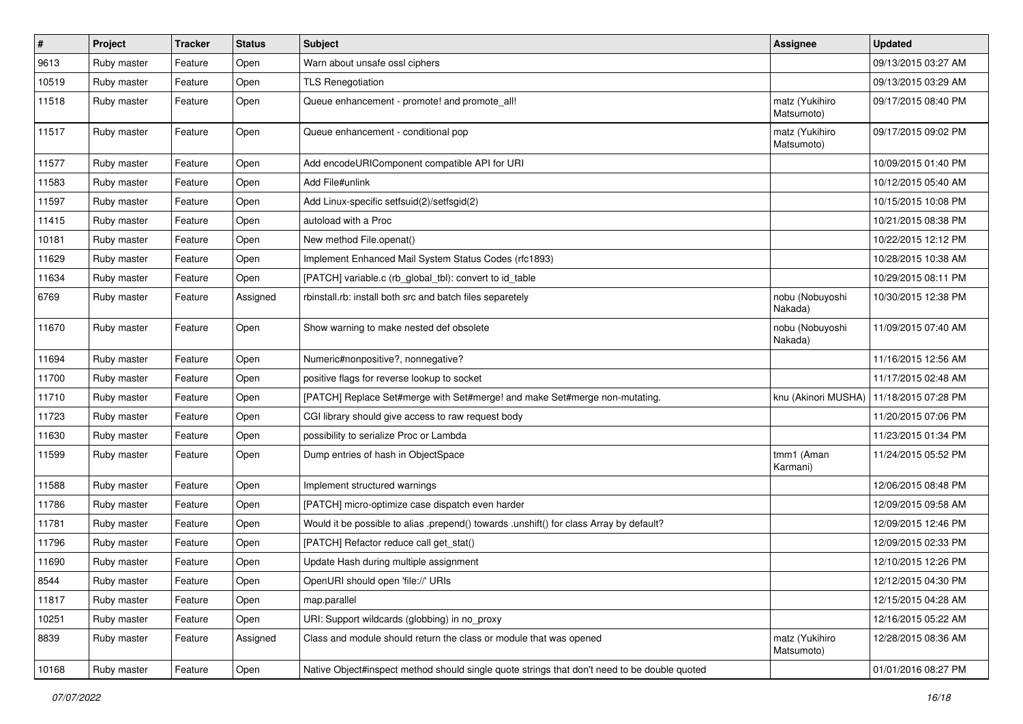| #     | Project     | <b>Tracker</b> | <b>Status</b> | <b>Subject</b>                                                                               | <b>Assignee</b>              | <b>Updated</b>      |
|-------|-------------|----------------|---------------|----------------------------------------------------------------------------------------------|------------------------------|---------------------|
| 9613  | Ruby master | Feature        | Open          | Warn about unsafe ossl ciphers                                                               |                              | 09/13/2015 03:27 AM |
| 10519 | Ruby master | Feature        | Open          | <b>TLS Renegotiation</b>                                                                     |                              | 09/13/2015 03:29 AM |
| 11518 | Ruby master | Feature        | Open          | Queue enhancement - promote! and promote_all!                                                | matz (Yukihiro<br>Matsumoto) | 09/17/2015 08:40 PM |
| 11517 | Ruby master | Feature        | Open          | Queue enhancement - conditional pop                                                          | matz (Yukihiro<br>Matsumoto) | 09/17/2015 09:02 PM |
| 11577 | Ruby master | Feature        | Open          | Add encodeURIComponent compatible API for URI                                                |                              | 10/09/2015 01:40 PM |
| 11583 | Ruby master | Feature        | Open          | Add File#unlink                                                                              |                              | 10/12/2015 05:40 AM |
| 11597 | Ruby master | Feature        | Open          | Add Linux-specific setfsuid(2)/setfsgid(2)                                                   |                              | 10/15/2015 10:08 PM |
| 11415 | Ruby master | Feature        | Open          | autoload with a Proc                                                                         |                              | 10/21/2015 08:38 PM |
| 10181 | Ruby master | Feature        | Open          | New method File.openat()                                                                     |                              | 10/22/2015 12:12 PM |
| 11629 | Ruby master | Feature        | Open          | Implement Enhanced Mail System Status Codes (rfc1893)                                        |                              | 10/28/2015 10:38 AM |
| 11634 | Ruby master | Feature        | Open          | [PATCH] variable.c (rb_global_tbl): convert to id_table                                      |                              | 10/29/2015 08:11 PM |
| 6769  | Ruby master | Feature        | Assigned      | rbinstall.rb: install both src and batch files separetely                                    | nobu (Nobuyoshi<br>Nakada)   | 10/30/2015 12:38 PM |
| 11670 | Ruby master | Feature        | Open          | Show warning to make nested def obsolete                                                     | nobu (Nobuyoshi<br>Nakada)   | 11/09/2015 07:40 AM |
| 11694 | Ruby master | Feature        | Open          | Numeric#nonpositive?, nonnegative?                                                           |                              | 11/16/2015 12:56 AM |
| 11700 | Ruby master | Feature        | Open          | positive flags for reverse lookup to socket                                                  |                              | 11/17/2015 02:48 AM |
| 11710 | Ruby master | Feature        | Open          | [PATCH] Replace Set#merge with Set#merge! and make Set#merge non-mutating.                   | knu (Akinori MUSHA)          | 11/18/2015 07:28 PM |
| 11723 | Ruby master | Feature        | Open          | CGI library should give access to raw request body                                           |                              | 11/20/2015 07:06 PM |
| 11630 | Ruby master | Feature        | Open          | possibility to serialize Proc or Lambda                                                      |                              | 11/23/2015 01:34 PM |
| 11599 | Ruby master | Feature        | Open          | Dump entries of hash in ObjectSpace                                                          | tmm1 (Aman<br>Karmani)       | 11/24/2015 05:52 PM |
| 11588 | Ruby master | Feature        | Open          | Implement structured warnings                                                                |                              | 12/06/2015 08:48 PM |
| 11786 | Ruby master | Feature        | Open          | [PATCH] micro-optimize case dispatch even harder                                             |                              | 12/09/2015 09:58 AM |
| 11781 | Ruby master | Feature        | Open          | Would it be possible to alias .prepend() towards .unshift() for class Array by default?      |                              | 12/09/2015 12:46 PM |
| 11796 | Ruby master | Feature        | Open          | [PATCH] Refactor reduce call get_stat()                                                      |                              | 12/09/2015 02:33 PM |
| 11690 | Ruby master | Feature        | Open          | Update Hash during multiple assignment                                                       |                              | 12/10/2015 12:26 PM |
| 8544  | Ruby master | I Feature      | Open          | OpenURI should open 'file://' URIs                                                           |                              | 12/12/2015 04:30 PM |
| 11817 | Ruby master | Feature        | Open          | map.parallel                                                                                 |                              | 12/15/2015 04:28 AM |
| 10251 | Ruby master | Feature        | Open          | URI: Support wildcards (globbing) in no_proxy                                                |                              | 12/16/2015 05:22 AM |
| 8839  | Ruby master | Feature        | Assigned      | Class and module should return the class or module that was opened                           | matz (Yukihiro<br>Matsumoto) | 12/28/2015 08:36 AM |
| 10168 | Ruby master | Feature        | Open          | Native Object#inspect method should single quote strings that don't need to be double quoted |                              | 01/01/2016 08:27 PM |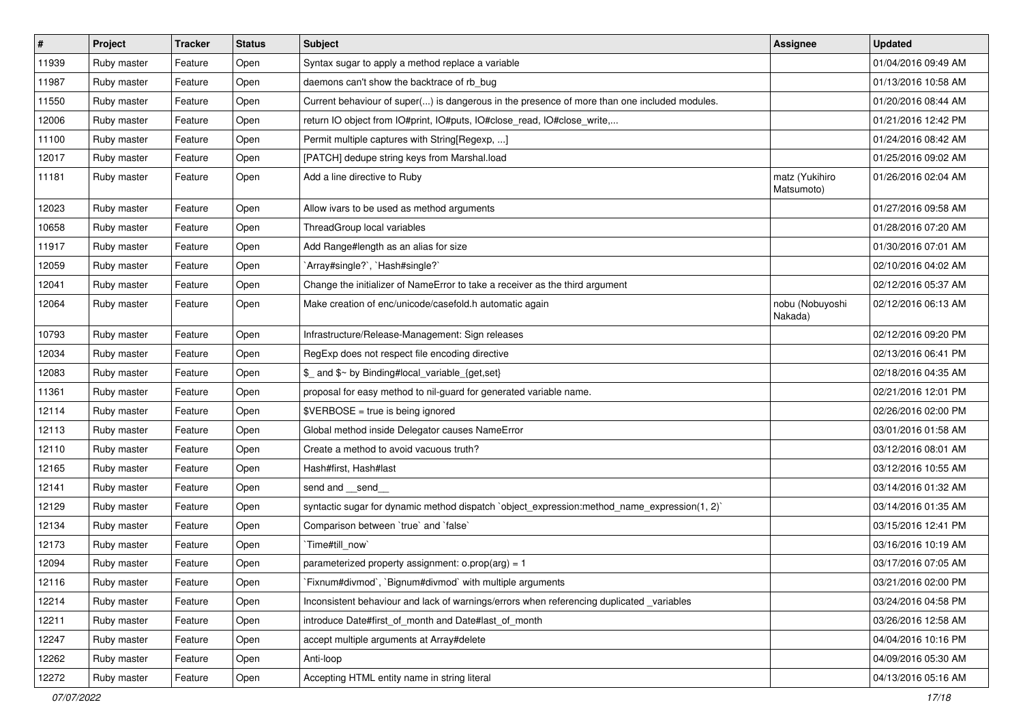| $\vert$ # | Project     | <b>Tracker</b> | <b>Status</b> | <b>Subject</b>                                                                               | <b>Assignee</b>              | <b>Updated</b>      |
|-----------|-------------|----------------|---------------|----------------------------------------------------------------------------------------------|------------------------------|---------------------|
| 11939     | Ruby master | Feature        | Open          | Syntax sugar to apply a method replace a variable                                            |                              | 01/04/2016 09:49 AM |
| 11987     | Ruby master | Feature        | Open          | daemons can't show the backtrace of rb_bug                                                   |                              | 01/13/2016 10:58 AM |
| 11550     | Ruby master | Feature        | Open          | Current behaviour of super() is dangerous in the presence of more than one included modules. |                              | 01/20/2016 08:44 AM |
| 12006     | Ruby master | Feature        | Open          | return IO object from IO#print, IO#puts, IO#close_read, IO#close_write,                      |                              | 01/21/2016 12:42 PM |
| 11100     | Ruby master | Feature        | Open          | Permit multiple captures with String[Regexp, ]                                               |                              | 01/24/2016 08:42 AM |
| 12017     | Ruby master | Feature        | Open          | [PATCH] dedupe string keys from Marshal.load                                                 |                              | 01/25/2016 09:02 AM |
| 11181     | Ruby master | Feature        | Open          | Add a line directive to Ruby                                                                 | matz (Yukihiro<br>Matsumoto) | 01/26/2016 02:04 AM |
| 12023     | Ruby master | Feature        | Open          | Allow ivars to be used as method arguments                                                   |                              | 01/27/2016 09:58 AM |
| 10658     | Ruby master | Feature        | Open          | ThreadGroup local variables                                                                  |                              | 01/28/2016 07:20 AM |
| 11917     | Ruby master | Feature        | Open          | Add Range#length as an alias for size                                                        |                              | 01/30/2016 07:01 AM |
| 12059     | Ruby master | Feature        | Open          | 'Array#single?', 'Hash#single?'                                                              |                              | 02/10/2016 04:02 AM |
| 12041     | Ruby master | Feature        | Open          | Change the initializer of NameError to take a receiver as the third argument                 |                              | 02/12/2016 05:37 AM |
| 12064     | Ruby master | Feature        | Open          | Make creation of enc/unicode/casefold.h automatic again                                      | nobu (Nobuyoshi<br>Nakada)   | 02/12/2016 06:13 AM |
| 10793     | Ruby master | Feature        | Open          | Infrastructure/Release-Management: Sign releases                                             |                              | 02/12/2016 09:20 PM |
| 12034     | Ruby master | Feature        | Open          | RegExp does not respect file encoding directive                                              |                              | 02/13/2016 06:41 PM |
| 12083     | Ruby master | Feature        | Open          | \$_ and \$~ by Binding#local_variable_{get,set}                                              |                              | 02/18/2016 04:35 AM |
| 11361     | Ruby master | Feature        | Open          | proposal for easy method to nil-guard for generated variable name.                           |                              | 02/21/2016 12:01 PM |
| 12114     | Ruby master | Feature        | Open          | \$VERBOSE = true is being ignored                                                            |                              | 02/26/2016 02:00 PM |
| 12113     | Ruby master | Feature        | Open          | Global method inside Delegator causes NameError                                              |                              | 03/01/2016 01:58 AM |
| 12110     | Ruby master | Feature        | Open          | Create a method to avoid vacuous truth?                                                      |                              | 03/12/2016 08:01 AM |
| 12165     | Ruby master | Feature        | Open          | Hash#first, Hash#last                                                                        |                              | 03/12/2016 10:55 AM |
| 12141     | Ruby master | Feature        | Open          | send and send                                                                                |                              | 03/14/2016 01:32 AM |
| 12129     | Ruby master | Feature        | Open          | syntactic sugar for dynamic method dispatch `object_expression:method_name_expression(1, 2)` |                              | 03/14/2016 01:35 AM |
| 12134     | Ruby master | Feature        | Open          | Comparison between 'true' and 'false'                                                        |                              | 03/15/2016 12:41 PM |
| 12173     | Ruby master | Feature        | Open          | Time#till now`                                                                               |                              | 03/16/2016 10:19 AM |
| 12094     | Ruby master | Feature        | Open          | parameterized property assignment: $o.prop(arg) = 1$                                         |                              | 03/17/2016 07:05 AM |
| 12116     | Ruby master | Feature        | Open          | Fixnum#divmod`, `Bignum#divmod` with multiple arguments                                      |                              | 03/21/2016 02:00 PM |
| 12214     | Ruby master | Feature        | Open          | Inconsistent behaviour and lack of warnings/errors when referencing duplicated _variables    |                              | 03/24/2016 04:58 PM |
| 12211     | Ruby master | Feature        | Open          | introduce Date#first of month and Date#last of month                                         |                              | 03/26/2016 12:58 AM |
| 12247     | Ruby master | Feature        | Open          | accept multiple arguments at Array#delete                                                    |                              | 04/04/2016 10:16 PM |
| 12262     | Ruby master | Feature        | Open          | Anti-loop                                                                                    |                              | 04/09/2016 05:30 AM |
| 12272     | Ruby master | Feature        | Open          | Accepting HTML entity name in string literal                                                 |                              | 04/13/2016 05:16 AM |